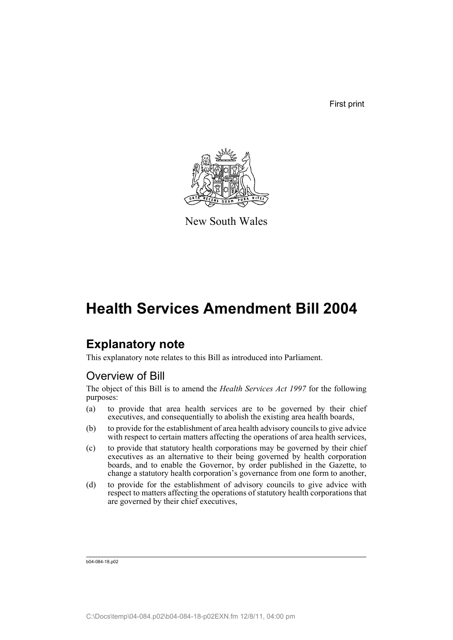First print



New South Wales

# **Health Services Amendment Bill 2004**

# **Explanatory note**

This explanatory note relates to this Bill as introduced into Parliament.

## Overview of Bill

The object of this Bill is to amend the *Health Services Act 1997* for the following purposes:

- (a) to provide that area health services are to be governed by their chief executives, and consequentially to abolish the existing area health boards,
- (b) to provide for the establishment of area health advisory councils to give advice with respect to certain matters affecting the operations of area health services,
- (c) to provide that statutory health corporations may be governed by their chief executives as an alternative to their being governed by health corporation boards, and to enable the Governor, by order published in the Gazette, to change a statutory health corporation's governance from one form to another,
- (d) to provide for the establishment of advisory councils to give advice with respect to matters affecting the operations of statutory health corporations that are governed by their chief executives,

b04-084-18.p02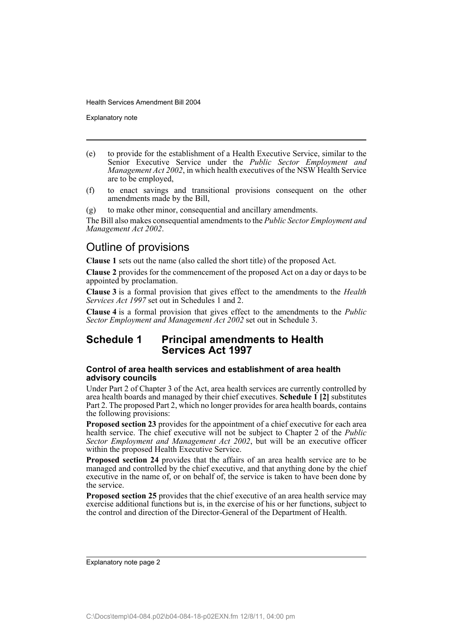Explanatory note

- (e) to provide for the establishment of a Health Executive Service, similar to the Senior Executive Service under the *Public Sector Employment and Management Act 2002*, in which health executives of the NSW Health Service are to be employed,
- (f) to enact savings and transitional provisions consequent on the other amendments made by the Bill,
- (g) to make other minor, consequential and ancillary amendments.

The Bill also makes consequential amendments to the *Public Sector Employment and Management Act 2002*.

## Outline of provisions

**Clause 1** sets out the name (also called the short title) of the proposed Act.

**Clause 2** provides for the commencement of the proposed Act on a day or days to be appointed by proclamation.

**Clause 3** is a formal provision that gives effect to the amendments to the *Health Services Act 1997* set out in Schedules 1 and 2.

**Clause 4** is a formal provision that gives effect to the amendments to the *Public Sector Employment and Management Act 2002* set out in Schedule 3.

## **Schedule 1 Principal amendments to Health Services Act 1997**

#### **Control of area health services and establishment of area health advisory councils**

Under Part 2 of Chapter 3 of the Act, area health services are currently controlled by area health boards and managed by their chief executives. **Schedule 1 [2]** substitutes Part 2. The proposed Part 2, which no longer provides for area health boards, contains the following provisions:

**Proposed section 23** provides for the appointment of a chief executive for each area health service. The chief executive will not be subject to Chapter 2 of the *Public Sector Employment and Management Act 2002*, but will be an executive officer within the proposed Health Executive Service.

**Proposed section 24** provides that the affairs of an area health service are to be managed and controlled by the chief executive, and that anything done by the chief executive in the name of, or on behalf of, the service is taken to have been done by the service.

**Proposed section 25** provides that the chief executive of an area health service may exercise additional functions but is, in the exercise of his or her functions, subject to the control and direction of the Director-General of the Department of Health.

Explanatory note page 2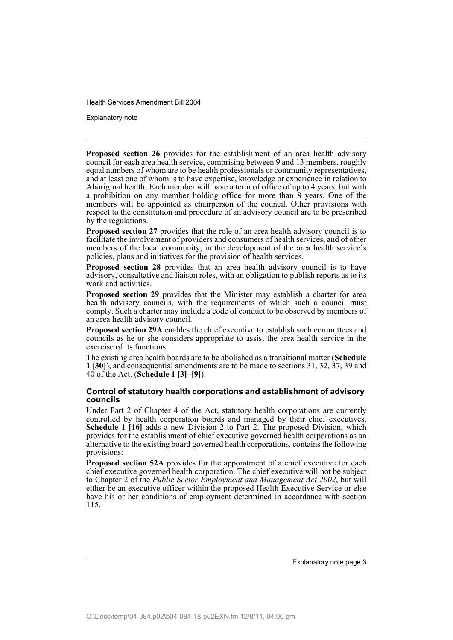Explanatory note

**Proposed section 26** provides for the establishment of an area health advisory council for each area health service, comprising between 9 and 13 members, roughly equal numbers of whom are to be health professionals or community representatives, and at least one of whom is to have expertise, knowledge or experience in relation to Aboriginal health. Each member will have a term of office of up to 4 years, but with a prohibition on any member holding office for more than 8 years. One of the members will be appointed as chairperson of the council. Other provisions with respect to the constitution and procedure of an advisory council are to be prescribed by the regulations.

**Proposed section 27** provides that the role of an area health advisory council is to facilitate the involvement of providers and consumers of health services, and of other members of the local community, in the development of the area health service's policies, plans and initiatives for the provision of health services.

**Proposed section 28** provides that an area health advisory council is to have advisory, consultative and liaison roles, with an obligation to publish reports as to its work and activities.

**Proposed section 29** provides that the Minister may establish a charter for area health advisory councils, with the requirements of which such a council must comply. Such a charter may include a code of conduct to be observed by members of an area health advisory council.

**Proposed section 29A** enables the chief executive to establish such committees and councils as he or she considers appropriate to assist the area health service in the exercise of its functions.

The existing area health boards are to be abolished as a transitional matter (**Schedule 1 [30]**), and consequential amendments are to be made to sections 31, 32, 37, 39 and 40 of the Act. (**Schedule 1 [3]–[9]**).

#### **Control of statutory health corporations and establishment of advisory councils**

Under Part 2 of Chapter 4 of the Act, statutory health corporations are currently controlled by health corporation boards and managed by their chief executives. **Schedule 1 [16]** adds a new Division 2 to Part 2. The proposed Division, which provides for the establishment of chief executive governed health corporations as an alternative to the existing board governed health corporations, contains the following provisions:

**Proposed section 52A** provides for the appointment of a chief executive for each chief executive governed health corporation. The chief executive will not be subject to Chapter 2 of the *Public Sector Employment and Management Act 2002*, but will either be an executive officer within the proposed Health Executive Service or else have his or her conditions of employment determined in accordance with section 115.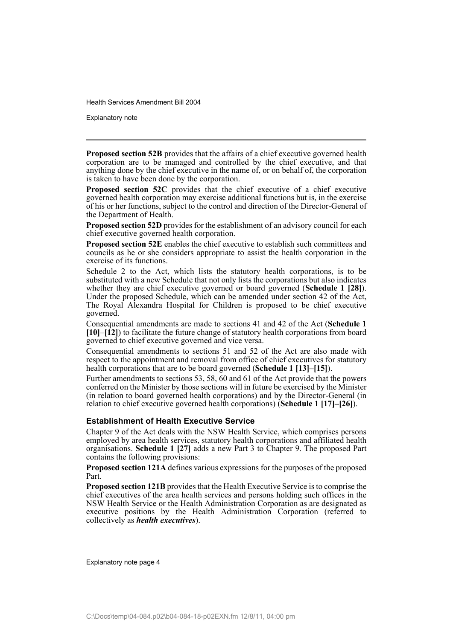Explanatory note

**Proposed section 52B** provides that the affairs of a chief executive governed health corporation are to be managed and controlled by the chief executive, and that anything done by the chief executive in the name of, or on behalf of, the corporation is taken to have been done by the corporation.

**Proposed section 52C** provides that the chief executive of a chief executive governed health corporation may exercise additional functions but is, in the exercise of his or her functions, subject to the control and direction of the Director-General of the Department of Health.

**Proposed section 52D** provides for the establishment of an advisory council for each chief executive governed health corporation.

**Proposed section 52E** enables the chief executive to establish such committees and councils as he or she considers appropriate to assist the health corporation in the exercise of its functions.

Schedule 2 to the Act, which lists the statutory health corporations, is to be substituted with a new Schedule that not only lists the corporations but also indicates whether they are chief executive governed or board governed (**Schedule 1 [28]**). Under the proposed Schedule, which can be amended under section 42 of the Act, The Royal Alexandra Hospital for Children is proposed to be chief executive governed.

Consequential amendments are made to sections 41 and 42 of the Act (**Schedule 1 [10]–[12]**) to facilitate the future change of statutory health corporations from board governed to chief executive governed and vice versa.

Consequential amendments to sections 51 and 52 of the Act are also made with respect to the appointment and removal from office of chief executives for statutory health corporations that are to be board governed (**Schedule 1 [13]–[15]**).

Further amendments to sections 53, 58, 60 and 61 of the Act provide that the powers conferred on the Minister by those sections will in future be exercised by the Minister (in relation to board governed health corporations) and by the Director-General (in relation to chief executive governed health corporations) (**Schedule 1 [17]–[26]**).

#### **Establishment of Health Executive Service**

Chapter 9 of the Act deals with the NSW Health Service, which comprises persons employed by area health services, statutory health corporations and affiliated health organisations. **Schedule 1 [27]** adds a new Part 3 to Chapter 9. The proposed Part contains the following provisions:

**Proposed section 121A** defines various expressions for the purposes of the proposed Part.

**Proposed section 121B** provides that the Health Executive Service is to comprise the chief executives of the area health services and persons holding such offices in the NSW Health Service or the Health Administration Corporation as are designated as executive positions by the Health Administration Corporation (referred to collectively as *health executives*).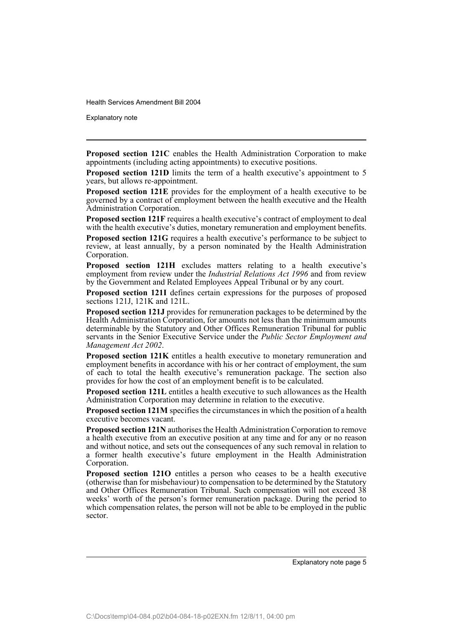Explanatory note

**Proposed section 121C** enables the Health Administration Corporation to make appointments (including acting appointments) to executive positions.

**Proposed section 121D** limits the term of a health executive's appointment to 5 years, but allows re-appointment.

**Proposed section 121E** provides for the employment of a health executive to be governed by a contract of employment between the health executive and the Health Administration Corporation.

**Proposed section 121F** requires a health executive's contract of employment to deal with the health executive's duties, monetary remuneration and employment benefits.

**Proposed section 121G** requires a health executive's performance to be subject to review, at least annually, by a person nominated by the Health Administration Corporation.

**Proposed section 121H** excludes matters relating to a health executive's employment from review under the *Industrial Relations Act 1996* and from review by the Government and Related Employees Appeal Tribunal or by any court.

**Proposed section 121I** defines certain expressions for the purposes of proposed sections 121J, 121K and 121L.

**Proposed section 121J** provides for remuneration packages to be determined by the Health Administration Corporation, for amounts not less than the minimum amounts determinable by the Statutory and Other Offices Remuneration Tribunal for public servants in the Senior Executive Service under the *Public Sector Employment and Management Act 2002*.

**Proposed section 121K** entitles a health executive to monetary remuneration and employment benefits in accordance with his or her contract of employment, the sum of each to total the health executive's remuneration package. The section also provides for how the cost of an employment benefit is to be calculated.

**Proposed section 121L** entitles a health executive to such allowances as the Health Administration Corporation may determine in relation to the executive.

**Proposed section 121M** specifies the circumstances in which the position of a health executive becomes vacant.

**Proposed section 121N** authorises the Health Administration Corporation to remove a health executive from an executive position at any time and for any or no reason and without notice, and sets out the consequences of any such removal in relation to a former health executive's future employment in the Health Administration Corporation.

**Proposed section 121O** entitles a person who ceases to be a health executive (otherwise than for misbehaviour) to compensation to be determined by the Statutory and Other Offices Remuneration Tribunal. Such compensation will not exceed 38 weeks' worth of the person's former remuneration package. During the period to which compensation relates, the person will not be able to be employed in the public sector.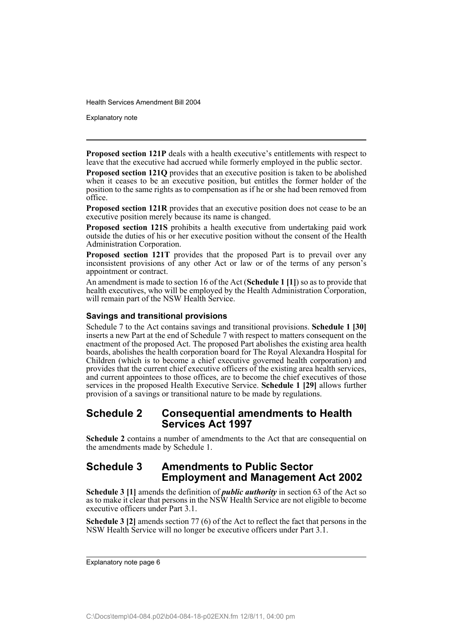Explanatory note

**Proposed section 121P** deals with a health executive's entitlements with respect to leave that the executive had accrued while formerly employed in the public sector.

**Proposed section 121Q** provides that an executive position is taken to be abolished when it ceases to be an executive position, but entitles the former holder of the position to the same rights as to compensation as if he or she had been removed from office.

**Proposed section 121R** provides that an executive position does not cease to be an executive position merely because its name is changed.

**Proposed section 121S** prohibits a health executive from undertaking paid work outside the duties of his or her executive position without the consent of the Health Administration Corporation.

**Proposed section 121T** provides that the proposed Part is to prevail over any inconsistent provisions of any other Act or law or of the terms of any person's appointment or contract.

An amendment is made to section 16 of the Act (**Schedule 1 [1]**) so as to provide that health executives, who will be employed by the Health Administration Corporation, will remain part of the NSW Health Service.

#### **Savings and transitional provisions**

Schedule 7 to the Act contains savings and transitional provisions. **Schedule 1 [30]** inserts a new Part at the end of Schedule 7 with respect to matters consequent on the enactment of the proposed Act. The proposed Part abolishes the existing area health boards, abolishes the health corporation board for The Royal Alexandra Hospital for Children (which is to become a chief executive governed health corporation) and provides that the current chief executive officers of the existing area health services, and current appointees to those offices, are to become the chief executives of those services in the proposed Health Executive Service. **Schedule 1 [29]** allows further provision of a savings or transitional nature to be made by regulations.

## **Schedule 2 Consequential amendments to Health Services Act 1997**

**Schedule 2** contains a number of amendments to the Act that are consequential on the amendments made by Schedule 1.

## **Schedule 3 Amendments to Public Sector Employment and Management Act 2002**

**Schedule 3 [1]** amends the definition of *public authority* in section 63 of the Act so as to make it clear that persons in the NSW Health Service are not eligible to become executive officers under Part 3.1.

**Schedule 3 [2]** amends section 77 (6) of the Act to reflect the fact that persons in the NSW Health Service will no longer be executive officers under Part 3.1.

Explanatory note page 6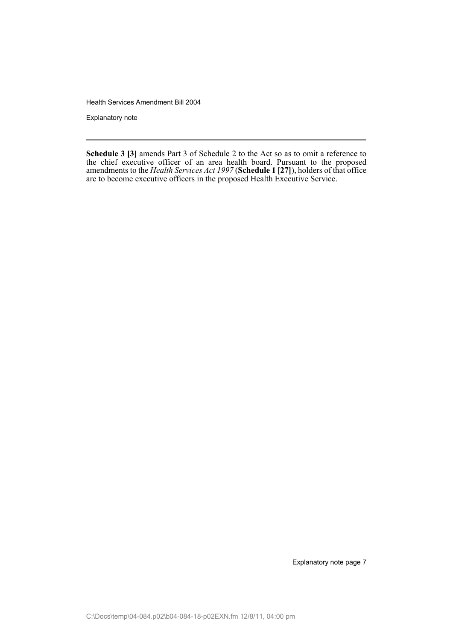Explanatory note

**Schedule 3 [3]** amends Part 3 of Schedule 2 to the Act so as to omit a reference to the chief executive officer of an area health board. Pursuant to the proposed amendments to the *Health Services Act 1997* (**Schedule 1 [27]**), holders of that office are to become executive officers in the proposed Health Executive Service.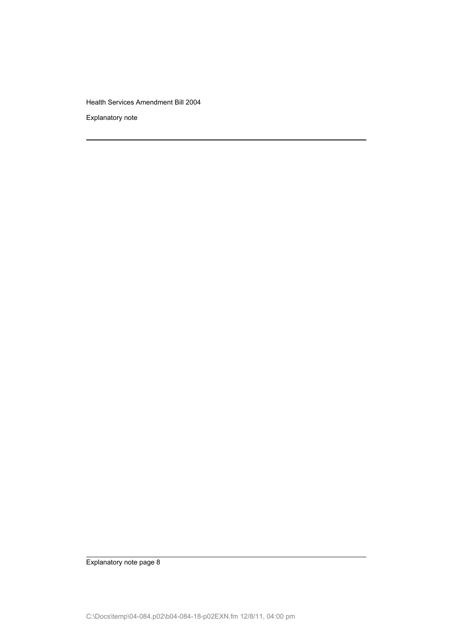Explanatory note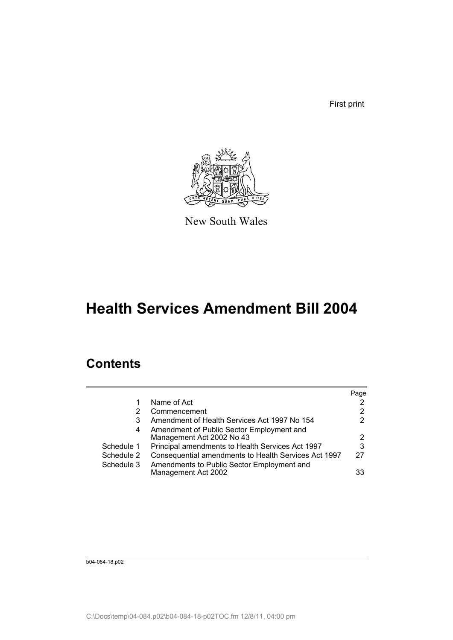First print



New South Wales

# **Health Services Amendment Bill 2004**

# **Contents**

|                                                      | Page           |
|------------------------------------------------------|----------------|
| Name of Act                                          | 2              |
| Commencement                                         | 2              |
| Amendment of Health Services Act 1997 No 154         | $\overline{2}$ |
| Amendment of Public Sector Employment and            |                |
| Management Act 2002 No 43                            | 2              |
| Principal amendments to Health Services Act 1997     | 3              |
| Consequential amendments to Health Services Act 1997 | 27             |
| Amendments to Public Sector Employment and           |                |
| Management Act 2002                                  | 33             |
|                                                      |                |

b04-084-18.p02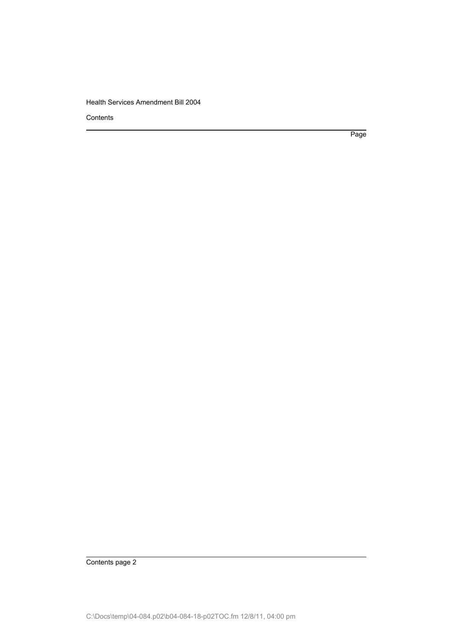**Contents** 

Page

Contents page 2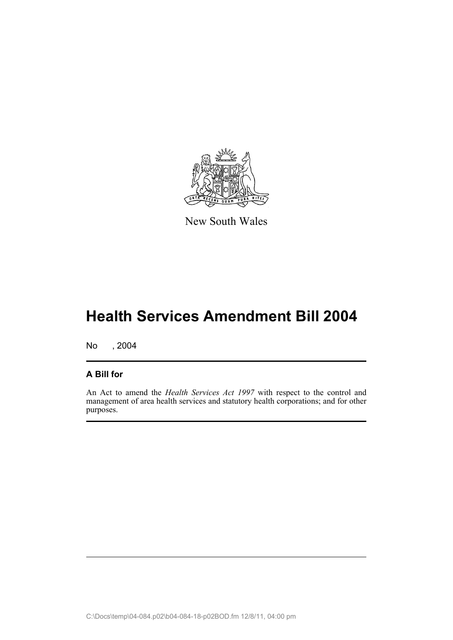

New South Wales

# **Health Services Amendment Bill 2004**

No , 2004

## **A Bill for**

An Act to amend the *Health Services Act 1997* with respect to the control and management of area health services and statutory health corporations; and for other purposes.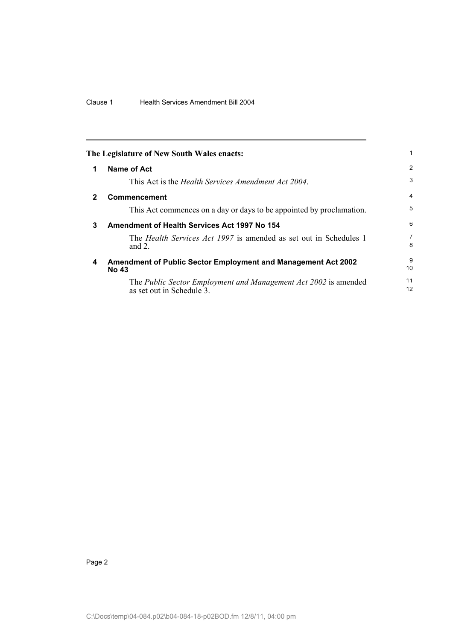<span id="page-11-3"></span><span id="page-11-2"></span><span id="page-11-1"></span><span id="page-11-0"></span>

|              | The Legislature of New South Wales enacts:                                                   |          |
|--------------|----------------------------------------------------------------------------------------------|----------|
| 1            | Name of Act                                                                                  | 2        |
|              | This Act is the <i>Health Services Amendment Act 2004</i> .                                  | 3        |
| $\mathbf{2}$ | Commencement                                                                                 | 4        |
|              | This Act commences on a day or days to be appointed by proclamation.                         | 5        |
| 3            | Amendment of Health Services Act 1997 No 154                                                 | 6        |
|              | The <i>Health Services Act 1997</i> is amended as set out in Schedules 1<br>and $2$ .        | 7<br>8   |
| 4            | Amendment of Public Sector Employment and Management Act 2002<br><b>No 43</b>                | 9<br>10  |
|              | The Public Sector Employment and Management Act 2002 is amended<br>as set out in Schedule 3. | 11<br>12 |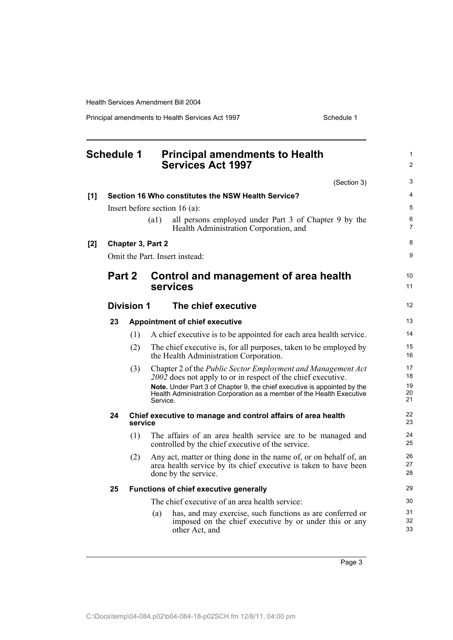Principal amendments to Health Services Act 1997 Schedule 1

<span id="page-12-0"></span>

| <b>Schedule 1</b> |        |                   | <b>Principal amendments to Health</b><br><b>Services Act 1997</b>                                                                                                                                        | 1<br>$\overline{c}$ |
|-------------------|--------|-------------------|----------------------------------------------------------------------------------------------------------------------------------------------------------------------------------------------------------|---------------------|
|                   |        |                   | (Section 3)                                                                                                                                                                                              | 3                   |
| [1]               |        |                   | Section 16 Who constitutes the NSW Health Service?                                                                                                                                                       | 4                   |
|                   |        |                   | Insert before section 16 (a):                                                                                                                                                                            | 5                   |
|                   |        |                   | all persons employed under Part 3 of Chapter 9 by the<br>$\left( a1\right)$<br>Health Administration Corporation, and                                                                                    | 6<br>7              |
| [2]               |        |                   | Chapter 3, Part 2                                                                                                                                                                                        | 8                   |
|                   |        |                   | Omit the Part. Insert instead:                                                                                                                                                                           | 9                   |
|                   | Part 2 |                   | Control and management of area health<br>services                                                                                                                                                        | 10<br>11            |
|                   |        | <b>Division 1</b> | The chief executive                                                                                                                                                                                      | 12                  |
|                   | 23     |                   | <b>Appointment of chief executive</b>                                                                                                                                                                    | 13                  |
|                   |        | (1)               | A chief executive is to be appointed for each area health service.                                                                                                                                       | 14                  |
|                   |        | (2)               | The chief executive is, for all purposes, taken to be employed by<br>the Health Administration Corporation.                                                                                              | 15<br>16            |
|                   |        | (3)               | Chapter 2 of the Public Sector Employment and Management Act<br>2002 does not apply to or in respect of the chief executive.<br>Note. Under Part 3 of Chapter 9, the chief executive is appointed by the | 17<br>18<br>19      |
|                   |        |                   | Health Administration Corporation as a member of the Health Executive<br>Service.                                                                                                                        | 20<br>21            |
|                   | 24     | service           | Chief executive to manage and control affairs of area health                                                                                                                                             | 22<br>23            |
|                   |        | (1)               | The affairs of an area health service are to be managed and<br>controlled by the chief executive of the service.                                                                                         | 24<br>25            |
|                   |        | (2)               | Any act, matter or thing done in the name of, or on behalf of, an<br>area health service by its chief executive is taken to have been<br>done by the service.                                            | 26<br>27<br>28      |
|                   | 25     |                   | <b>Functions of chief executive generally</b>                                                                                                                                                            | 29                  |
|                   |        |                   | The chief executive of an area health service:                                                                                                                                                           | 30                  |
|                   |        |                   | has, and may exercise, such functions as are conferred or<br>(a)<br>imposed on the chief executive by or under this or any<br>other Act, and                                                             | 31<br>32<br>33      |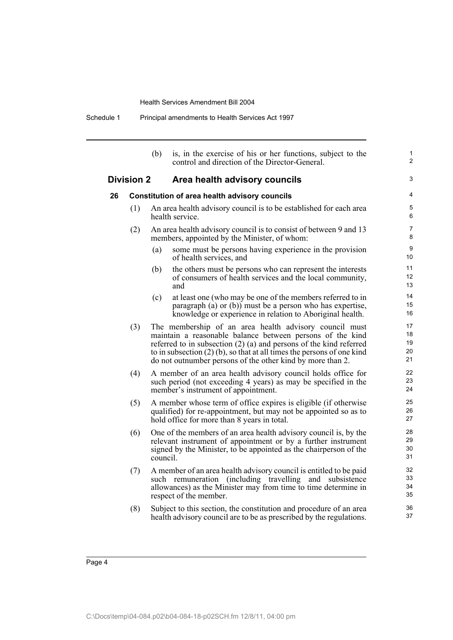|    |                   | (b)      | is, in the exercise of his or her functions, subject to the<br>control and direction of the Director-General.                                                                                                                                                                                                                         | $\mathbf{1}$<br>$\overline{2}$ |
|----|-------------------|----------|---------------------------------------------------------------------------------------------------------------------------------------------------------------------------------------------------------------------------------------------------------------------------------------------------------------------------------------|--------------------------------|
|    | <b>Division 2</b> |          | Area health advisory councils                                                                                                                                                                                                                                                                                                         | 3                              |
| 26 |                   |          | Constitution of area health advisory councils                                                                                                                                                                                                                                                                                         | 4                              |
|    | (1)               |          | An area health advisory council is to be established for each area<br>health service.                                                                                                                                                                                                                                                 | 5<br>6                         |
|    | (2)               |          | An area health advisory council is to consist of between 9 and 13<br>members, appointed by the Minister, of whom:                                                                                                                                                                                                                     | $\overline{7}$<br>8            |
|    |                   | (a)      | some must be persons having experience in the provision<br>of health services, and                                                                                                                                                                                                                                                    | 9<br>10                        |
|    |                   | (b)      | the others must be persons who can represent the interests<br>of consumers of health services and the local community,<br>and                                                                                                                                                                                                         | 11<br>12<br>13                 |
|    |                   | (c)      | at least one (who may be one of the members referred to in<br>paragraph (a) or (b)) must be a person who has expertise,<br>knowledge or experience in relation to Aboriginal health.                                                                                                                                                  | 14<br>15<br>16                 |
|    | (3)               |          | The membership of an area health advisory council must<br>maintain a reasonable balance between persons of the kind<br>referred to in subsection $(2)$ (a) and persons of the kind referred<br>to in subsection $(2)$ (b), so that at all times the persons of one kind<br>do not outnumber persons of the other kind by more than 2. | 17<br>18<br>19<br>20<br>21     |
|    | (4)               |          | A member of an area health advisory council holds office for<br>such period (not exceeding 4 years) as may be specified in the<br>member's instrument of appointment.                                                                                                                                                                 | 22<br>23<br>24                 |
|    | (5)               |          | A member whose term of office expires is eligible (if otherwise<br>qualified) for re-appointment, but may not be appointed so as to<br>hold office for more than 8 years in total.                                                                                                                                                    | 25<br>26<br>27                 |
|    | (6)               | council. | One of the members of an area health advisory council is, by the<br>relevant instrument of appointment or by a further instrument<br>signed by the Minister, to be appointed as the chairperson of the                                                                                                                                | 28<br>29<br>30<br>31           |
|    | (7)               |          | A member of an area health advisory council is entitled to be paid<br>such remuneration (including travelling and subsistence<br>allowances) as the Minister may from time to time determine in<br>respect of the member.                                                                                                             | 32<br>33<br>34<br>35           |
|    | (8)               |          | Subject to this section, the constitution and procedure of an area<br>health advisory council are to be as prescribed by the regulations.                                                                                                                                                                                             | 36<br>37                       |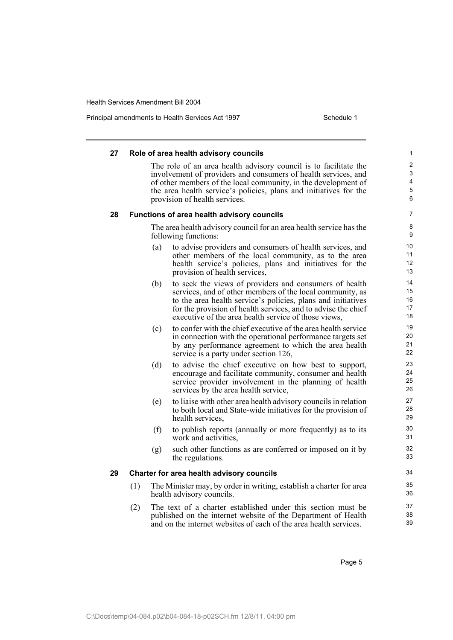Principal amendments to Health Services Act 1997 **Schedule 1** Schedule 1

#### **27 Role of area health advisory councils** The role of an area health advisory council is to facilitate the involvement of providers and consumers of health services, and of other members of the local community, in the development of the area health service's policies, plans and initiatives for the provision of health services. **28 Functions of area health advisory councils** The area health advisory council for an area health service has the following functions: (a) to advise providers and consumers of health services, and other members of the local community, as to the area health service's policies, plans and initiatives for the provision of health services, (b) to seek the views of providers and consumers of health services, and of other members of the local community, as to the area health service's policies, plans and initiatives for the provision of health services, and to advise the chief executive of the area health service of those views, (c) to confer with the chief executive of the area health service in connection with the operational performance targets set by any performance agreement to which the area health service is a party under section 126, (d) to advise the chief executive on how best to support, encourage and facilitate community, consumer and health service provider involvement in the planning of health services by the area health service, (e) to liaise with other area health advisory councils in relation to both local and State-wide initiatives for the provision of health services, (f) to publish reports (annually or more frequently) as to its work and activities, (g) such other functions as are conferred or imposed on it by the regulations. **29 Charter for area health advisory councils** (1) The Minister may, by order in writing, establish a charter for area health advisory councils. (2) The text of a charter established under this section must be published on the internet website of the Department of Health and on the internet websites of each of the area health services. 1  $\overline{2}$ 3 4 5 6 7 8 9 10 11 12 13 14 15 16 17 18 19  $20$ 21 22 23  $24$ 25 26 27 28 29 30 31 32 33 34 35 36 37 38 39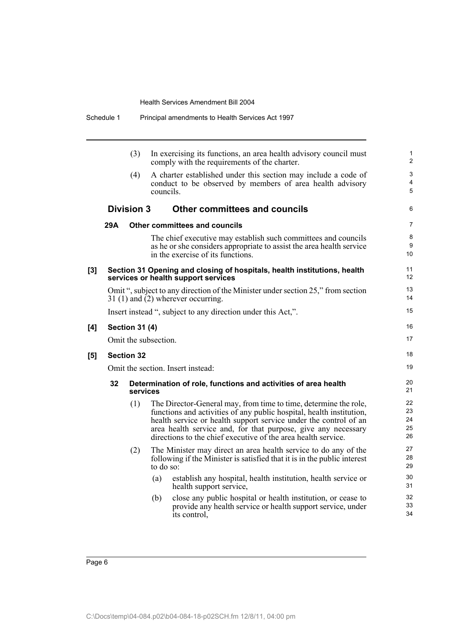|     |     | (3)                   | In exercising its functions, an area health advisory council must<br>comply with the requirements of the charter.                                                                                                                                                                                                                              | $\mathbf{1}$<br>$\overline{2}$ |
|-----|-----|-----------------------|------------------------------------------------------------------------------------------------------------------------------------------------------------------------------------------------------------------------------------------------------------------------------------------------------------------------------------------------|--------------------------------|
|     |     | (4)                   | A charter established under this section may include a code of<br>conduct to be observed by members of area health advisory<br>councils.                                                                                                                                                                                                       | 3<br>4<br>5                    |
|     |     | <b>Division 3</b>     | <b>Other committees and councils</b>                                                                                                                                                                                                                                                                                                           | 6                              |
|     | 29A |                       | <b>Other committees and councils</b>                                                                                                                                                                                                                                                                                                           | 7                              |
|     |     |                       | The chief executive may establish such committees and councils<br>as he or she considers appropriate to assist the area health service<br>in the exercise of its functions.                                                                                                                                                                    | 8<br>9<br>10                   |
| [3] |     |                       | Section 31 Opening and closing of hospitals, health institutions, health<br>services or health support services                                                                                                                                                                                                                                | 11<br>12                       |
|     |     |                       | Omit ", subject to any direction of the Minister under section 25," from section<br>31 $(1)$ and $(2)$ wherever occurring.                                                                                                                                                                                                                     | 13<br>14                       |
|     |     |                       | Insert instead ", subject to any direction under this Act,".                                                                                                                                                                                                                                                                                   | 15                             |
| [4] |     | <b>Section 31 (4)</b> |                                                                                                                                                                                                                                                                                                                                                | 16                             |
|     |     |                       | Omit the subsection.                                                                                                                                                                                                                                                                                                                           | 17                             |
| [5] |     | <b>Section 32</b>     |                                                                                                                                                                                                                                                                                                                                                | 18                             |
|     |     |                       | Omit the section. Insert instead:                                                                                                                                                                                                                                                                                                              | 19                             |
|     | 32  | services              | Determination of role, functions and activities of area health                                                                                                                                                                                                                                                                                 | 20<br>21                       |
|     |     | (1)                   | The Director-General may, from time to time, determine the role,<br>functions and activities of any public hospital, health institution,<br>health service or health support service under the control of an<br>area health service and, for that purpose, give any necessary<br>directions to the chief executive of the area health service. | 22<br>23<br>24<br>25<br>26     |
|     |     | (2)                   | The Minister may direct an area health service to do any of the<br>following if the Minister is satisfied that it is in the public interest<br>to do so:                                                                                                                                                                                       | 27<br>28<br>29                 |
|     |     |                       | establish any hospital, health institution, health service or<br>(a)<br>health support service,                                                                                                                                                                                                                                                | 30<br>31                       |
|     |     |                       | close any public hospital or health institution, or cease to<br>(b)<br>provide any health service or health support service, under<br>its control,                                                                                                                                                                                             | 32<br>33<br>34                 |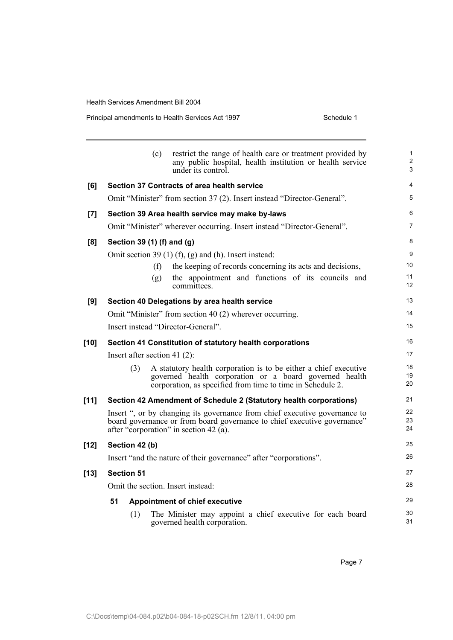Principal amendments to Health Services Act 1997 Schedule 1

|        |    |                   | restrict the range of health care or treatment provided by<br>(c)<br>any public hospital, health institution or health service<br>under its control.                                             | $\mathbf{1}$<br>$\mathbf{2}$<br>3 |
|--------|----|-------------------|--------------------------------------------------------------------------------------------------------------------------------------------------------------------------------------------------|-----------------------------------|
| [6]    |    |                   | <b>Section 37 Contracts of area health service</b>                                                                                                                                               | $\overline{4}$                    |
|        |    |                   | Omit "Minister" from section 37 (2). Insert instead "Director-General".                                                                                                                          | 5                                 |
| [7]    |    |                   | Section 39 Area health service may make by-laws                                                                                                                                                  | 6                                 |
|        |    |                   | Omit "Minister" wherever occurring. Insert instead "Director-General".                                                                                                                           | $\overline{7}$                    |
| [8]    |    |                   | Section 39 (1) (f) and (g)                                                                                                                                                                       | 8                                 |
|        |    |                   | Omit section 39 $(1)$ (f), (g) and (h). Insert instead:                                                                                                                                          | 9                                 |
|        |    |                   | the keeping of records concerning its acts and decisions,<br>(f)                                                                                                                                 | 10                                |
|        |    |                   | the appointment and functions of its councils and<br>(g)<br>committees.                                                                                                                          | 11<br>12                          |
| [9]    |    |                   | Section 40 Delegations by area health service                                                                                                                                                    | 13                                |
|        |    |                   | Omit "Minister" from section 40 (2) wherever occurring.                                                                                                                                          | 14                                |
|        |    |                   | Insert instead "Director-General".                                                                                                                                                               | 15                                |
| [10]   |    |                   | Section 41 Constitution of statutory health corporations                                                                                                                                         | 16                                |
|        |    |                   | Insert after section 41 $(2)$ :                                                                                                                                                                  | 17                                |
|        |    | (3)               | A statutory health corporation is to be either a chief executive<br>governed health corporation or a board governed health<br>corporation, as specified from time to time in Schedule 2.         | 18<br>19<br>20                    |
| $[11]$ |    |                   | Section 42 Amendment of Schedule 2 (Statutory health corporations)                                                                                                                               | 21                                |
|        |    |                   | Insert ", or by changing its governance from chief executive governance to<br>board governance or from board governance to chief executive governance"<br>after "corporation" in section 42 (a). | 22<br>23<br>24                    |
| [12]   |    | Section 42 (b)    |                                                                                                                                                                                                  | 25                                |
|        |    |                   | Insert "and the nature of their governance" after "corporations".                                                                                                                                | 26                                |
| $[13]$ |    | <b>Section 51</b> |                                                                                                                                                                                                  | 27                                |
|        |    |                   | Omit the section. Insert instead:                                                                                                                                                                | 28                                |
|        | 51 |                   | <b>Appointment of chief executive</b>                                                                                                                                                            | 29                                |
|        |    | (1)               | The Minister may appoint a chief executive for each board<br>governed health corporation.                                                                                                        | 30<br>31                          |
|        |    |                   |                                                                                                                                                                                                  |                                   |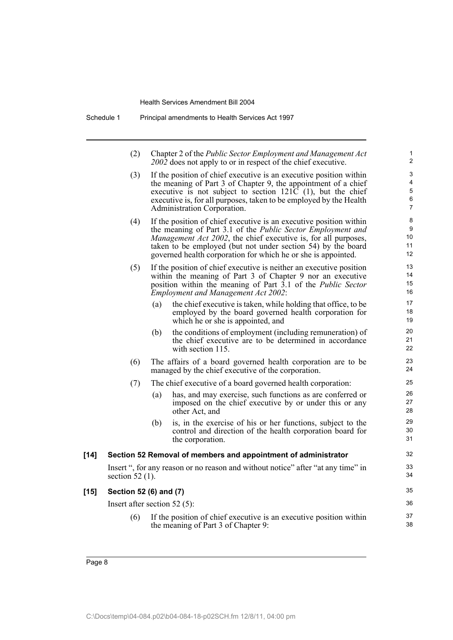Schedule 1 Principal amendments to Health Services Act 1997

| (2) | Chapter 2 of the Public Sector Employment and Management Act<br>2002 does not apply to or in respect of the chief executive.                                                                                                                                                                                       |
|-----|--------------------------------------------------------------------------------------------------------------------------------------------------------------------------------------------------------------------------------------------------------------------------------------------------------------------|
| (3) | If the position of chief executive is an executive position within<br>the meaning of Part 3 of Chapter 9, the appointment of a chief<br>executive is not subject to section $121\tilde{C}$ (1), but the chief<br>executive is, for all purposes, taken to be employed by the Health<br>Administration Corporation. |
| (4) | If the position of chief executive is an executive position within<br>the meaning of Part 3.1 of the <i>Public Sector Employment and</i>                                                                                                                                                                           |

32 33 34

- the meaning of Part 3.1 of the *Public Sector Employment and Management Act 2002*, the chief executive is, for all purposes, taken to be employed (but not under section 54) by the board governed health corporation for which he or she is appointed.
- (5) If the position of chief executive is neither an executive position within the meaning of Part 3 of Chapter 9 nor an executive position within the meaning of Part 3.1 of the *Public Sector Employment and Management Act 2002*:
	- (a) the chief executive is taken, while holding that office, to be employed by the board governed health corporation for which he or she is appointed, and
	- (b) the conditions of employment (including remuneration) of the chief executive are to be determined in accordance with section 115.
- (6) The affairs of a board governed health corporation are to be managed by the chief executive of the corporation.
- (7) The chief executive of a board governed health corporation:
	- (a) has, and may exercise, such functions as are conferred or imposed on the chief executive by or under this or any other Act, and
	- (b) is, in the exercise of his or her functions, subject to the control and direction of the health corporation board for the corporation.

#### **[14] Section 52 Removal of members and appointment of administrator**

Insert ", for any reason or no reason and without notice" after "at any time" in section 52 (1).

#### **[15] Section 52 (6) and (7)**

Insert after section 52 (5):

(6) If the position of chief executive is an executive position within the meaning of Part 3 of Chapter 9: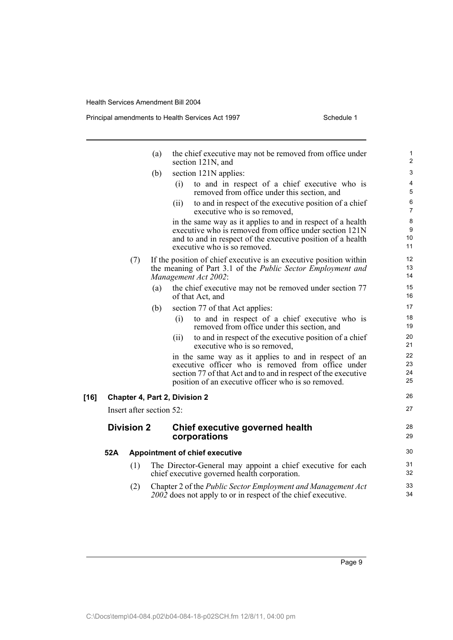Principal amendments to Health Services Act 1997 Schedule 1

|        |     |                   | (a)                      | the chief executive may not be removed from office under<br>section 121N, and                                                                                                                                                       | 1<br>2               |
|--------|-----|-------------------|--------------------------|-------------------------------------------------------------------------------------------------------------------------------------------------------------------------------------------------------------------------------------|----------------------|
|        |     |                   | (b)                      | section 121N applies:                                                                                                                                                                                                               | 3                    |
|        |     |                   |                          | to and in respect of a chief executive who is<br>(i)<br>removed from office under this section, and                                                                                                                                 | 4<br>5               |
|        |     |                   |                          | to and in respect of the executive position of a chief<br>(ii)<br>executive who is so removed,                                                                                                                                      | 6<br>7               |
|        |     |                   |                          | in the same way as it applies to and in respect of a health<br>executive who is removed from office under section 121N<br>and to and in respect of the executive position of a health<br>executive who is so removed.               | 8<br>9<br>10<br>11   |
|        |     | (7)               |                          | If the position of chief executive is an executive position within<br>the meaning of Part 3.1 of the Public Sector Employment and<br>Management Act 2002:                                                                           | 12<br>13<br>14       |
|        |     |                   | (a)                      | the chief executive may not be removed under section 77<br>of that Act, and                                                                                                                                                         | 15<br>16             |
|        |     |                   | (b)                      | section 77 of that Act applies:                                                                                                                                                                                                     | 17                   |
|        |     |                   |                          | to and in respect of a chief executive who is<br>(i)<br>removed from office under this section, and                                                                                                                                 | 18<br>19             |
|        |     |                   |                          | to and in respect of the executive position of a chief<br>(i)<br>executive who is so removed,                                                                                                                                       | 20<br>21             |
|        |     |                   |                          | in the same way as it applies to and in respect of an<br>executive officer who is removed from office under<br>section 77 of that Act and to and in respect of the executive<br>position of an executive officer who is so removed. | 22<br>23<br>24<br>25 |
| $[16]$ |     |                   |                          | <b>Chapter 4, Part 2, Division 2</b>                                                                                                                                                                                                | 26                   |
|        |     |                   | Insert after section 52: |                                                                                                                                                                                                                                     | 27                   |
|        |     | <b>Division 2</b> |                          | Chief executive governed health<br>corporations                                                                                                                                                                                     | 28<br>29             |
|        | 52A |                   |                          | <b>Appointment of chief executive</b>                                                                                                                                                                                               | 30                   |
|        |     | (1)               |                          | The Director-General may appoint a chief executive for each<br>chief executive governed health corporation.                                                                                                                         | 31<br>32             |
|        |     | (2)               |                          | Chapter 2 of the Public Sector Employment and Management Act<br>2002 does not apply to or in respect of the chief executive.                                                                                                        | 33<br>34             |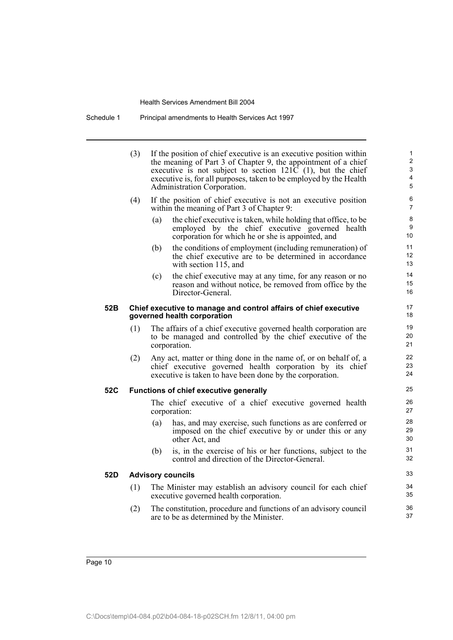| Schedule 1 | Principal amendments to Health Services Act 1997 |  |
|------------|--------------------------------------------------|--|
|            |                                                  |  |

|     | (3) | If the position of chief executive is an executive position within<br>the meaning of Part 3 of Chapter 9, the appointment of a chief<br>executive is not subject to section $121\hat{C}$ (1), but the chief<br>executive is, for all purposes, taken to be employed by the Health<br>Administration Corporation. | $\mathbf{1}$<br>$\mathbf{2}$<br>3<br>4<br>5 |
|-----|-----|------------------------------------------------------------------------------------------------------------------------------------------------------------------------------------------------------------------------------------------------------------------------------------------------------------------|---------------------------------------------|
|     | (4) | If the position of chief executive is not an executive position<br>within the meaning of Part 3 of Chapter 9:                                                                                                                                                                                                    | 6<br>$\overline{7}$                         |
|     |     | the chief executive is taken, while holding that office, to be<br>(a)<br>employed by the chief executive governed health<br>corporation for which he or she is appointed, and                                                                                                                                    | 8<br>9<br>10                                |
|     |     | (b)<br>the conditions of employment (including remuneration) of<br>the chief executive are to be determined in accordance<br>with section 115, and                                                                                                                                                               | 11<br>12<br>13                              |
|     |     | (c)<br>the chief executive may at any time, for any reason or no<br>reason and without notice, be removed from office by the<br>Director-General.                                                                                                                                                                | 14<br>15<br>16                              |
| 52B |     | Chief executive to manage and control affairs of chief executive<br>governed health corporation                                                                                                                                                                                                                  | 17<br>18                                    |
|     | (1) | The affairs of a chief executive governed health corporation are<br>to be managed and controlled by the chief executive of the<br>corporation.                                                                                                                                                                   | 19<br>20<br>21                              |
|     | (2) | Any act, matter or thing done in the name of, or on behalf of, a<br>chief executive governed health corporation by its chief<br>executive is taken to have been done by the corporation.                                                                                                                         | 22<br>23<br>24                              |
| 52C |     | <b>Functions of chief executive generally</b>                                                                                                                                                                                                                                                                    | 25                                          |
|     |     | The chief executive of a chief executive governed health<br>corporation:                                                                                                                                                                                                                                         | 26<br>27                                    |
|     |     | has, and may exercise, such functions as are conferred or<br>(a)<br>imposed on the chief executive by or under this or any<br>other Act, and                                                                                                                                                                     | 28<br>29<br>30                              |
|     |     | is, in the exercise of his or her functions, subject to the<br>(b)<br>control and direction of the Director-General.                                                                                                                                                                                             | 31<br>32                                    |
| 52D |     | <b>Advisory councils</b>                                                                                                                                                                                                                                                                                         | 33                                          |
|     | (1) | The Minister may establish an advisory council for each chief<br>executive governed health corporation.                                                                                                                                                                                                          | 34<br>35                                    |
|     | (2) | The constitution, procedure and functions of an advisory council<br>are to be as determined by the Minister.                                                                                                                                                                                                     | 36<br>37                                    |
|     |     |                                                                                                                                                                                                                                                                                                                  |                                             |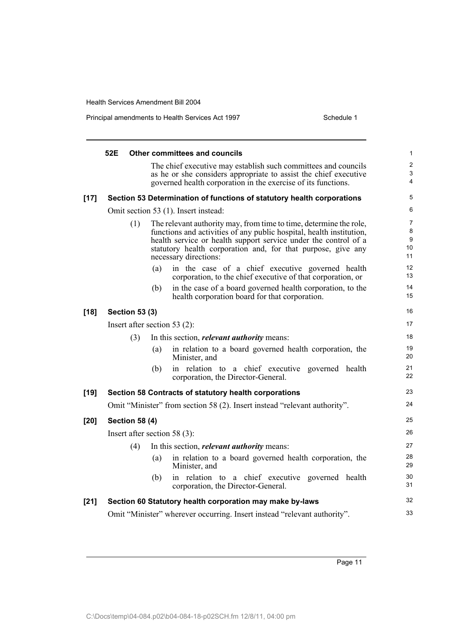Principal amendments to Health Services Act 1997 Schedule 1

|        | 52E |                       |     | Other committees and councils                                                                                                                                                                                                                                                                          | 1                                 |
|--------|-----|-----------------------|-----|--------------------------------------------------------------------------------------------------------------------------------------------------------------------------------------------------------------------------------------------------------------------------------------------------------|-----------------------------------|
|        |     |                       |     | The chief executive may establish such committees and councils<br>as he or she considers appropriate to assist the chief executive<br>governed health corporation in the exercise of its functions.                                                                                                    | $\overline{\mathbf{c}}$<br>3<br>4 |
| $[17]$ |     |                       |     | Section 53 Determination of functions of statutory health corporations                                                                                                                                                                                                                                 | 5                                 |
|        |     |                       |     | Omit section 53 (1). Insert instead:                                                                                                                                                                                                                                                                   | 6                                 |
|        |     | (1)                   |     | The relevant authority may, from time to time, determine the role,<br>functions and activities of any public hospital, health institution,<br>health service or health support service under the control of a<br>statutory health corporation and, for that purpose, give any<br>necessary directions: | 7<br>8<br>9<br>10<br>11           |
|        |     |                       | (a) | in the case of a chief executive governed health<br>corporation, to the chief executive of that corporation, or                                                                                                                                                                                        | 12<br>13                          |
|        |     |                       | (b) | in the case of a board governed health corporation, to the<br>health corporation board for that corporation.                                                                                                                                                                                           | 14<br>15                          |
| $[18]$ |     | <b>Section 53 (3)</b> |     |                                                                                                                                                                                                                                                                                                        | 16                                |
|        |     |                       |     | Insert after section 53 $(2)$ :                                                                                                                                                                                                                                                                        | 17                                |
|        |     | (3)                   |     | In this section, <i>relevant authority</i> means:                                                                                                                                                                                                                                                      | 18                                |
|        |     |                       | (a) | in relation to a board governed health corporation, the<br>Minister, and                                                                                                                                                                                                                               | 19<br>20                          |
|        |     |                       | (b) | in relation to a chief executive governed health<br>corporation, the Director-General.                                                                                                                                                                                                                 | 21<br>22                          |
| $[19]$ |     |                       |     | Section 58 Contracts of statutory health corporations                                                                                                                                                                                                                                                  | 23                                |
|        |     |                       |     | Omit "Minister" from section 58 (2). Insert instead "relevant authority".                                                                                                                                                                                                                              | 24                                |
| [20]   |     | <b>Section 58 (4)</b> |     |                                                                                                                                                                                                                                                                                                        | 25                                |
|        |     |                       |     | Insert after section 58 $(3)$ :                                                                                                                                                                                                                                                                        | 26                                |
|        |     | (4)                   |     | In this section, <i>relevant authority</i> means:                                                                                                                                                                                                                                                      | 27                                |
|        |     |                       | (a) | in relation to a board governed health corporation, the<br>Minister, and                                                                                                                                                                                                                               | 28<br>29                          |
|        |     |                       | (b) | in relation to a chief executive governed health<br>corporation, the Director-General.                                                                                                                                                                                                                 | 30<br>31                          |
| $[21]$ |     |                       |     | Section 60 Statutory health corporation may make by-laws                                                                                                                                                                                                                                               | 32                                |
|        |     |                       |     | Omit "Minister" wherever occurring. Insert instead "relevant authority".                                                                                                                                                                                                                               | 33                                |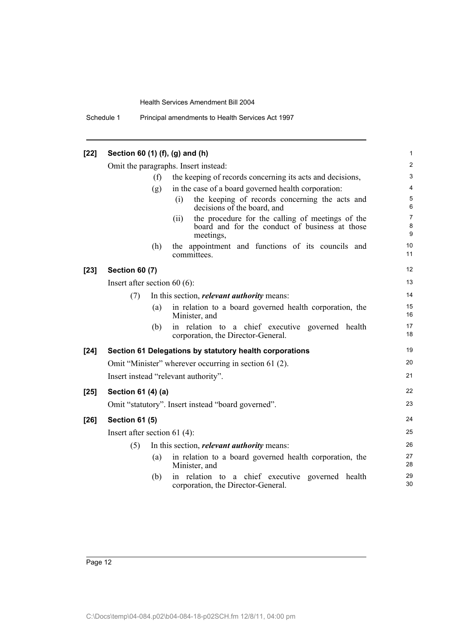Schedule 1 Principal amendments to Health Services Act 1997

| $[22]$ |                                 | Section 60 (1) (f), (g) and (h)                                                                                         | 1                        |
|--------|---------------------------------|-------------------------------------------------------------------------------------------------------------------------|--------------------------|
|        |                                 | Omit the paragraphs. Insert instead:                                                                                    | $\overline{c}$           |
|        |                                 | the keeping of records concerning its acts and decisions,<br>(f)                                                        | 3                        |
|        |                                 | in the case of a board governed health corporation:<br>(g)                                                              | 4                        |
|        |                                 | the keeping of records concerning the acts and<br>(i)<br>decisions of the board, and                                    | 5<br>6                   |
|        |                                 | the procedure for the calling of meetings of the<br>(ii)<br>board and for the conduct of business at those<br>meetings, | $\overline{7}$<br>8<br>9 |
|        | (h)                             | the appointment and functions of its councils and<br>committees.                                                        | 10<br>11                 |
| $[23]$ | <b>Section 60 (7)</b>           |                                                                                                                         | 12                       |
|        | Insert after section $60(6)$ :  |                                                                                                                         | 13                       |
|        | (7)                             | In this section, <i>relevant authority</i> means:                                                                       | 14                       |
|        |                                 | in relation to a board governed health corporation, the<br>(a)<br>Minister, and                                         | 15<br>16                 |
|        | (b)                             | in relation to a chief executive governed health<br>corporation, the Director-General.                                  | 17<br>18                 |
| $[24]$ |                                 | Section 61 Delegations by statutory health corporations                                                                 | 19                       |
|        |                                 | Omit "Minister" wherever occurring in section 61 (2).                                                                   | 20                       |
|        |                                 | Insert instead "relevant authority".                                                                                    | 21                       |
| $[25]$ | Section 61 (4) (a)              |                                                                                                                         | 22                       |
|        |                                 | Omit "statutory". Insert instead "board governed".                                                                      | 23                       |
| $[26]$ | <b>Section 61 (5)</b>           |                                                                                                                         | 24                       |
|        | Insert after section 61 $(4)$ : |                                                                                                                         | 25                       |
|        | (5)                             | In this section, <i>relevant authority</i> means:                                                                       | 26                       |
|        |                                 | in relation to a board governed health corporation, the<br>(a)<br>Minister, and                                         | 27<br>28                 |
|        | (b)                             | in relation to a chief executive governed health<br>corporation, the Director-General.                                  | 29<br>30                 |
|        |                                 |                                                                                                                         |                          |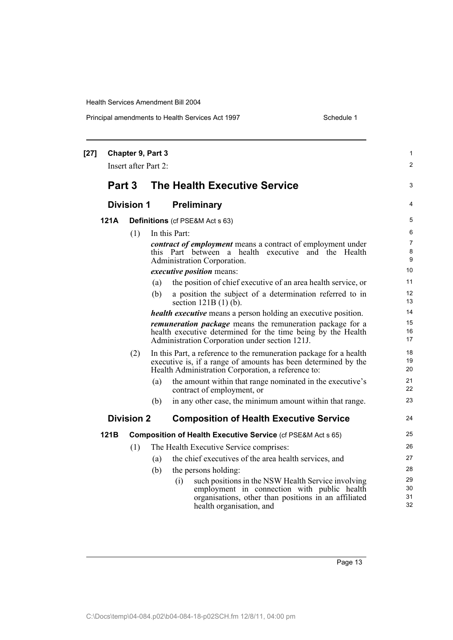Principal amendments to Health Services Act 1997 Schedule 1

| $[27]$ |        |                   | Chapter 9, Part 3<br>Insert after Part 2: |                                                                                                                                                                                              | $\mathbf{1}$<br>2              |
|--------|--------|-------------------|-------------------------------------------|----------------------------------------------------------------------------------------------------------------------------------------------------------------------------------------------|--------------------------------|
|        | Part 3 |                   |                                           | <b>The Health Executive Service</b>                                                                                                                                                          | 3                              |
|        |        | <b>Division 1</b> |                                           | Preliminary                                                                                                                                                                                  | 4                              |
|        | 121A   |                   |                                           | <b>Definitions</b> (cf PSE&M Act s 63)                                                                                                                                                       | 5                              |
|        |        | (1)               | In this Part:                             |                                                                                                                                                                                              | 6                              |
|        |        |                   |                                           | <i>contract of employment</i> means a contract of employment under<br>this Part between a health executive and the Health<br>Administration Corporation.                                     | $\overline{7}$<br>$\bf 8$<br>9 |
|        |        |                   |                                           | executive position means:                                                                                                                                                                    | 10                             |
|        |        |                   | (a)                                       | the position of chief executive of an area health service, or                                                                                                                                | 11                             |
|        |        |                   | (b)                                       | a position the subject of a determination referred to in<br>section $121B(1)$ (b).                                                                                                           | 12<br>13                       |
|        |        |                   |                                           | <i>health executive</i> means a person holding an executive position.                                                                                                                        | 14                             |
|        |        |                   |                                           | <i>remuneration package</i> means the remuneration package for a<br>health executive determined for the time being by the Health<br>Administration Corporation under section 121J.           | 15<br>16<br>17                 |
|        |        | (2)               |                                           | In this Part, a reference to the remuneration package for a health<br>executive is, if a range of amounts has been determined by the<br>Health Administration Corporation, a reference to:   | 18<br>19<br>20                 |
|        |        |                   | (a)                                       | the amount within that range nominated in the executive's<br>contract of employment, or                                                                                                      | 21<br>22                       |
|        |        |                   | (b)                                       | in any other case, the minimum amount within that range.                                                                                                                                     | 23                             |
|        |        | <b>Division 2</b> |                                           | <b>Composition of Health Executive Service</b>                                                                                                                                               | 24                             |
|        | 121B   |                   |                                           | <b>Composition of Health Executive Service (cf PSE&amp;M Act s 65)</b>                                                                                                                       | 25                             |
|        |        | (1)               |                                           | The Health Executive Service comprises:                                                                                                                                                      | 26                             |
|        |        |                   | (a)                                       | the chief executives of the area health services, and                                                                                                                                        | 27                             |
|        |        |                   | (b)                                       | the persons holding:                                                                                                                                                                         | 28                             |
|        |        |                   |                                           | (i)<br>such positions in the NSW Health Service involving<br>employment in connection with public health<br>organisations, other than positions in an affiliated<br>health organisation, and | 29<br>30<br>31<br>32           |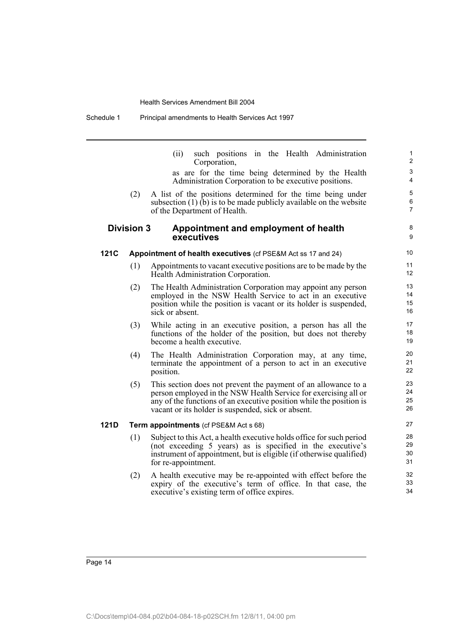#### Schedule 1 Principal amendments to Health Services Act 1997

(ii) such positions in the Health Administration Corporation,

 $\mathbf{Q}$ 9

as are for the time being determined by the Health Administration Corporation to be executive positions.

(2) A list of the positions determined for the time being under subsection (1) (b) is to be made publicly available on the website of the Department of Health.

#### **Division 3 Appointment and employment of health executives**

#### **121C Appointment of health executives** (cf PSE&M Act ss 17 and 24)

- (1) Appointments to vacant executive positions are to be made by the Health Administration Corporation.
- (2) The Health Administration Corporation may appoint any person employed in the NSW Health Service to act in an executive position while the position is vacant or its holder is suspended, sick or absent.
- (3) While acting in an executive position, a person has all the functions of the holder of the position, but does not thereby become a health executive.
- (4) The Health Administration Corporation may, at any time, terminate the appointment of a person to act in an executive position.
- (5) This section does not prevent the payment of an allowance to a person employed in the NSW Health Service for exercising all or any of the functions of an executive position while the position is vacant or its holder is suspended, sick or absent.

#### **121D Term appointments** (cf PSE&M Act s 68)

- (1) Subject to this Act, a health executive holds office for such period (not exceeding 5 years) as is specified in the executive's instrument of appointment, but is eligible (if otherwise qualified) for re-appointment.
- (2) A health executive may be re-appointed with effect before the expiry of the executive's term of office. In that case, the executive's existing term of office expires.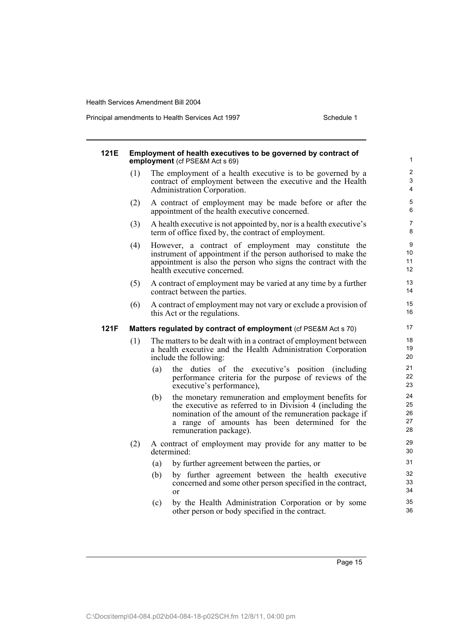Principal amendments to Health Services Act 1997 Schedule 1

| 121E |     | Employment of health executives to be governed by contract of<br>employment (cf PSE&M Act s 69)                                                                                                                                                                  | 1                          |
|------|-----|------------------------------------------------------------------------------------------------------------------------------------------------------------------------------------------------------------------------------------------------------------------|----------------------------|
|      | (1) | The employment of a health executive is to be governed by a<br>contract of employment between the executive and the Health<br>Administration Corporation.                                                                                                        | $\overline{2}$<br>3<br>4   |
|      | (2) | A contract of employment may be made before or after the<br>appointment of the health executive concerned.                                                                                                                                                       | 5<br>6                     |
|      | (3) | A health executive is not appointed by, nor is a health executive's<br>term of office fixed by, the contract of employment.                                                                                                                                      | 7<br>8                     |
|      | (4) | However, a contract of employment may constitute the<br>instrument of appointment if the person authorised to make the<br>appointment is also the person who signs the contract with the<br>health executive concerned.                                          | 9<br>10<br>11<br>12        |
|      | (5) | A contract of employment may be varied at any time by a further<br>contract between the parties.                                                                                                                                                                 | 13<br>14                   |
|      | (6) | A contract of employment may not vary or exclude a provision of<br>this Act or the regulations.                                                                                                                                                                  | 15<br>16                   |
| 121F |     | Matters regulated by contract of employment (cf PSE&M Act s 70)                                                                                                                                                                                                  | 17                         |
|      | (1) | The matters to be dealt with in a contract of employment between<br>a health executive and the Health Administration Corporation<br>include the following:                                                                                                       | 18<br>19<br>20             |
|      |     | the duties of the executive's position (including<br>(a)<br>performance criteria for the purpose of reviews of the<br>executive's performance),                                                                                                                  | 21<br>22<br>23             |
|      |     | the monetary remuneration and employment benefits for<br>(b)<br>the executive as referred to in Division 4 (including the<br>nomination of the amount of the remuneration package if<br>a range of amounts has been determined for the<br>remuneration package). | 24<br>25<br>26<br>27<br>28 |
|      | (2) | A contract of employment may provide for any matter to be<br>determined:                                                                                                                                                                                         | 29<br>30                   |
|      |     | by further agreement between the parties, or<br>(a)                                                                                                                                                                                                              | 31                         |
|      |     | by further agreement between the health executive<br>(b)<br>concerned and some other person specified in the contract,<br><sub>or</sub>                                                                                                                          | 32<br>33<br>34             |
|      |     | by the Health Administration Corporation or by some<br>(c)<br>other person or body specified in the contract.                                                                                                                                                    | 35<br>36                   |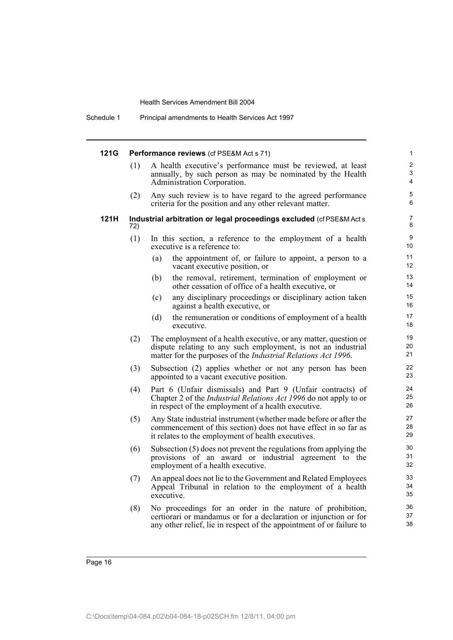| <b>121G</b> | Performance reviews (cf PSE&M Act s 71) |                                                                                                                                                                                                            |                          |  |  |
|-------------|-----------------------------------------|------------------------------------------------------------------------------------------------------------------------------------------------------------------------------------------------------------|--------------------------|--|--|
|             | (1)                                     | A health executive's performance must be reviewed, at least<br>annually, by such person as may be nominated by the Health<br>Administration Corporation.                                                   | 2<br>$\mathfrak{S}$<br>4 |  |  |
|             | (2)                                     | Any such review is to have regard to the agreed performance<br>criteria for the position and any other relevant matter.                                                                                    | 5<br>6                   |  |  |
| 121H        | 72)                                     | Industrial arbitration or legal proceedings excluded (cf PSE&M Acts)                                                                                                                                       | 7<br>8                   |  |  |
|             | (1)                                     | In this section, a reference to the employment of a health<br>executive is a reference to:                                                                                                                 | 9<br>10                  |  |  |
|             |                                         | the appointment of, or failure to appoint, a person to a<br>(a)<br>vacant executive position, or                                                                                                           | 11<br>12                 |  |  |
|             |                                         | the removal, retirement, termination of employment or<br>(b)<br>other cessation of office of a health executive, or                                                                                        | 13<br>14                 |  |  |
|             |                                         | any disciplinary proceedings or disciplinary action taken<br>(c)<br>against a health executive, or                                                                                                         | 15<br>16                 |  |  |
|             |                                         | the remuneration or conditions of employment of a health<br>(d)<br>executive.                                                                                                                              | 17<br>18                 |  |  |
|             | (2)                                     | The employment of a health executive, or any matter, question or<br>dispute relating to any such employment, is not an industrial<br>matter for the purposes of the <i>Industrial Relations Act 1996</i> . | 19<br>20<br>21           |  |  |
|             | (3)                                     | Subsection (2) applies whether or not any person has been<br>appointed to a vacant executive position.                                                                                                     | 22<br>23                 |  |  |
|             | (4)                                     | Part 6 (Unfair dismissals) and Part 9 (Unfair contracts) of<br>Chapter 2 of the <i>Industrial Relations Act 1996</i> do not apply to or<br>in respect of the employment of a health executive.             | 24<br>25<br>26           |  |  |
|             | (5)                                     | Any State industrial instrument (whether made before or after the<br>commencement of this section) does not have effect in so far as<br>it relates to the employment of health executives.                 | 27<br>28<br>29           |  |  |
|             | (6)                                     | Subsection $(5)$ does not prevent the regulations from applying the<br>provisions of an award or industrial agreement to the<br>employment of a health executive.                                          | 30<br>31<br>32           |  |  |
|             | (7)                                     | An appeal does not lie to the Government and Related Employees<br>Appeal Tribunal in relation to the employment of a health<br>executive.                                                                  | 33<br>34<br>35           |  |  |
|             | (8)                                     | No proceedings for an order in the nature of prohibition,<br>certiorari or mandamus or for a declaration or injunction or for<br>any other relief, lie in respect of the appointment of or failure to      | 36<br>37<br>38           |  |  |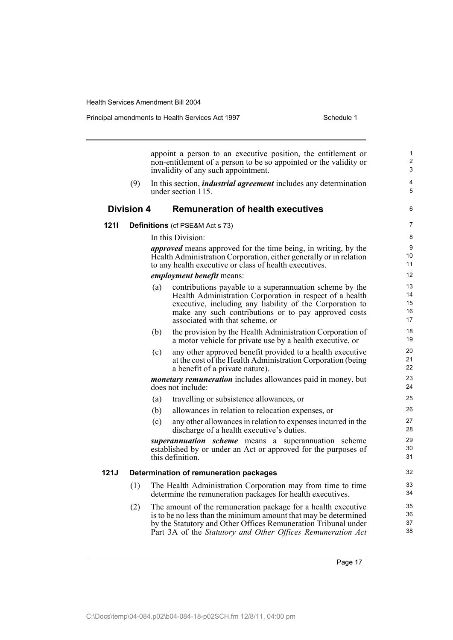Principal amendments to Health Services Act 1997 Schedule 1

|      |                   | appoint a person to an executive position, the entitlement or<br>non-entitlement of a person to be so appointed or the validity or<br>invalidity of any such appointment.                                                                                                         | 1<br>$\overline{c}$<br>3   |
|------|-------------------|-----------------------------------------------------------------------------------------------------------------------------------------------------------------------------------------------------------------------------------------------------------------------------------|----------------------------|
|      | (9)               | In this section, <i>industrial agreement</i> includes any determination<br>under section 115.                                                                                                                                                                                     | 4<br>5                     |
|      | <b>Division 4</b> | <b>Remuneration of health executives</b>                                                                                                                                                                                                                                          | 6                          |
| 1211 |                   | <b>Definitions</b> (cf PSE&M Act s 73)                                                                                                                                                                                                                                            | 7                          |
|      |                   | In this Division:                                                                                                                                                                                                                                                                 | 8                          |
|      |                   | <i>approved</i> means approved for the time being, in writing, by the<br>Health Administration Corporation, either generally or in relation<br>to any health executive or class of health executives.                                                                             | 9<br>10<br>11              |
|      |                   | employment benefit means:                                                                                                                                                                                                                                                         | 12                         |
|      |                   | contributions payable to a superannuation scheme by the<br>(a)<br>Health Administration Corporation in respect of a health<br>executive, including any liability of the Corporation to<br>make any such contributions or to pay approved costs<br>associated with that scheme, or | 13<br>14<br>15<br>16<br>17 |
|      |                   | the provision by the Health Administration Corporation of<br>(b)<br>a motor vehicle for private use by a health executive, or                                                                                                                                                     | 18<br>19                   |
|      |                   | any other approved benefit provided to a health executive<br>(c)<br>at the cost of the Health Administration Corporation (being)<br>a benefit of a private nature).                                                                                                               | 20<br>21<br>22             |
|      |                   | <i>monetary remuneration</i> includes allowances paid in money, but<br>does not include:                                                                                                                                                                                          | 23<br>24                   |
|      |                   | (a)<br>travelling or subsistence allowances, or                                                                                                                                                                                                                                   | 25                         |
|      |                   | (b)<br>allowances in relation to relocation expenses, or                                                                                                                                                                                                                          | 26                         |
|      |                   | (c)<br>any other allowances in relation to expenses incurred in the<br>discharge of a health executive's duties.                                                                                                                                                                  | 27<br>28                   |
|      |                   | superannuation scheme means a superannuation scheme<br>established by or under an Act or approved for the purposes of<br>this definition.                                                                                                                                         | 29<br>30<br>31             |
| 121J |                   | Determination of remuneration packages                                                                                                                                                                                                                                            | 32                         |
|      | (1)               | The Health Administration Corporation may from time to time<br>determine the remuneration packages for health executives.                                                                                                                                                         | 33<br>34                   |
|      | (2)               | The amount of the remuneration package for a health executive<br>is to be no less than the minimum amount that may be determined<br>by the Statutory and Other Offices Remuneration Tribunal under<br>Part 3A of the Statutory and Other Offices Remuneration Act                 | 35<br>36<br>37<br>38       |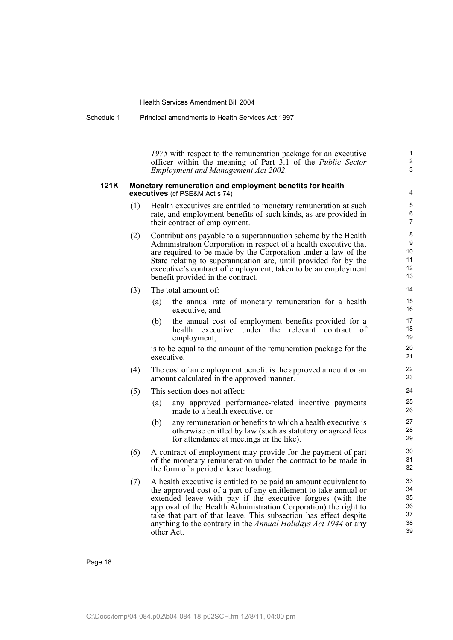Schedule 1 Principal amendments to Health Services Act 1997

*1975* with respect to the remuneration package for an executive officer within the meaning of Part 3.1 of the *Public Sector Employment and Management Act 2002*.

1 2 3

#### **121K Monetary remuneration and employment benefits for health executives** (cf PSE&M Act s 74)

- (1) Health executives are entitled to monetary remuneration at such rate, and employment benefits of such kinds, as are provided in their contract of employment.
- (2) Contributions payable to a superannuation scheme by the Health Administration Corporation in respect of a health executive that are required to be made by the Corporation under a law of the State relating to superannuation are, until provided for by the executive's contract of employment, taken to be an employment benefit provided in the contract.
- (3) The total amount of:
	- (a) the annual rate of monetary remuneration for a health executive, and
	- (b) the annual cost of employment benefits provided for a health executive under the relevant contract of employment,

is to be equal to the amount of the remuneration package for the executive.

- (4) The cost of an employment benefit is the approved amount or an amount calculated in the approved manner.
- (5) This section does not affect:
	- (a) any approved performance-related incentive payments made to a health executive, or
	- (b) any remuneration or benefits to which a health executive is otherwise entitled by law (such as statutory or agreed fees for attendance at meetings or the like).
- (6) A contract of employment may provide for the payment of part of the monetary remuneration under the contract to be made in the form of a periodic leave loading.
- (7) A health executive is entitled to be paid an amount equivalent to the approved cost of a part of any entitlement to take annual or extended leave with pay if the executive forgoes (with the approval of the Health Administration Corporation) the right to take that part of that leave. This subsection has effect despite anything to the contrary in the *Annual Holidays Act 1944* or any other Act.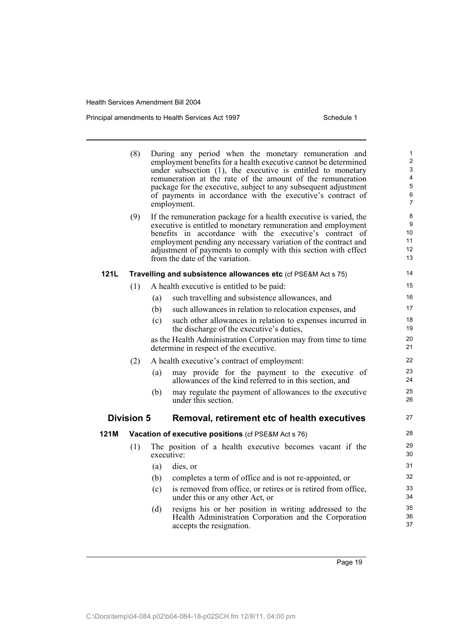Principal amendments to Health Services Act 1997 Schedule 1

|      | (8)<br>(9)        |            | During any period when the monetary remuneration and<br>employment benefits for a health executive cannot be determined<br>under subsection $(1)$ , the executive is entitled to monetary<br>remuneration at the rate of the amount of the remuneration<br>package for the executive, subject to any subsequent adjustment<br>of payments in accordance with the executive's contract of<br>employment.<br>If the remuneration package for a health executive is varied, the<br>executive is entitled to monetary remuneration and employment<br>benefits in accordance with the executive's contract of<br>employment pending any necessary variation of the contract and<br>adjustment of payments to comply with this section with effect<br>from the date of the variation. | $\mathbf{1}$<br>2<br>3<br>$\overline{4}$<br>5<br>6<br>$\overline{7}$<br>8<br>9<br>10 <sup>°</sup><br>11<br>12<br>13 |
|------|-------------------|------------|---------------------------------------------------------------------------------------------------------------------------------------------------------------------------------------------------------------------------------------------------------------------------------------------------------------------------------------------------------------------------------------------------------------------------------------------------------------------------------------------------------------------------------------------------------------------------------------------------------------------------------------------------------------------------------------------------------------------------------------------------------------------------------|---------------------------------------------------------------------------------------------------------------------|
| 121L |                   |            | Travelling and subsistence allowances etc (cf PSE&M Act s 75)                                                                                                                                                                                                                                                                                                                                                                                                                                                                                                                                                                                                                                                                                                                   | 14                                                                                                                  |
|      | (1)               |            | A health executive is entitled to be paid:                                                                                                                                                                                                                                                                                                                                                                                                                                                                                                                                                                                                                                                                                                                                      | 15                                                                                                                  |
|      |                   | (a)        | such travelling and subsistence allowances, and                                                                                                                                                                                                                                                                                                                                                                                                                                                                                                                                                                                                                                                                                                                                 | 16                                                                                                                  |
|      |                   | (b)        | such allowances in relation to relocation expenses, and                                                                                                                                                                                                                                                                                                                                                                                                                                                                                                                                                                                                                                                                                                                         | 17                                                                                                                  |
|      |                   | (c)        | such other allowances in relation to expenses incurred in<br>the discharge of the executive's duties,                                                                                                                                                                                                                                                                                                                                                                                                                                                                                                                                                                                                                                                                           | 18<br>19                                                                                                            |
|      |                   |            | as the Health Administration Corporation may from time to time<br>determine in respect of the executive.                                                                                                                                                                                                                                                                                                                                                                                                                                                                                                                                                                                                                                                                        | 20<br>21                                                                                                            |
|      | (2)               |            | A health executive's contract of employment:                                                                                                                                                                                                                                                                                                                                                                                                                                                                                                                                                                                                                                                                                                                                    | 22                                                                                                                  |
|      |                   | (a)        | may provide for the payment to the executive of<br>allowances of the kind referred to in this section, and                                                                                                                                                                                                                                                                                                                                                                                                                                                                                                                                                                                                                                                                      | 23<br>24                                                                                                            |
|      |                   | (b)        | may regulate the payment of allowances to the executive<br>under this section.                                                                                                                                                                                                                                                                                                                                                                                                                                                                                                                                                                                                                                                                                                  | 25<br>26                                                                                                            |
|      | <b>Division 5</b> |            | Removal, retirement etc of health executives                                                                                                                                                                                                                                                                                                                                                                                                                                                                                                                                                                                                                                                                                                                                    | 27                                                                                                                  |
| 121M |                   |            | Vacation of executive positions (cf PSE&M Act s 76)                                                                                                                                                                                                                                                                                                                                                                                                                                                                                                                                                                                                                                                                                                                             | 28                                                                                                                  |
|      | (1)               | executive: | The position of a health executive becomes vacant if the                                                                                                                                                                                                                                                                                                                                                                                                                                                                                                                                                                                                                                                                                                                        | 29<br>30                                                                                                            |
|      |                   | (a)        | dies, or                                                                                                                                                                                                                                                                                                                                                                                                                                                                                                                                                                                                                                                                                                                                                                        | 31                                                                                                                  |
|      |                   | (b)        | completes a term of office and is not re-appointed, or                                                                                                                                                                                                                                                                                                                                                                                                                                                                                                                                                                                                                                                                                                                          | 32                                                                                                                  |
|      |                   | (c)        | is removed from office, or retires or is retired from office,<br>under this or any other Act, or                                                                                                                                                                                                                                                                                                                                                                                                                                                                                                                                                                                                                                                                                | 33<br>34                                                                                                            |
|      |                   | (d)        | resigns his or her position in writing addressed to the<br>Health Administration Corporation and the Corporation<br>accepts the resignation.                                                                                                                                                                                                                                                                                                                                                                                                                                                                                                                                                                                                                                    | 35<br>36<br>37                                                                                                      |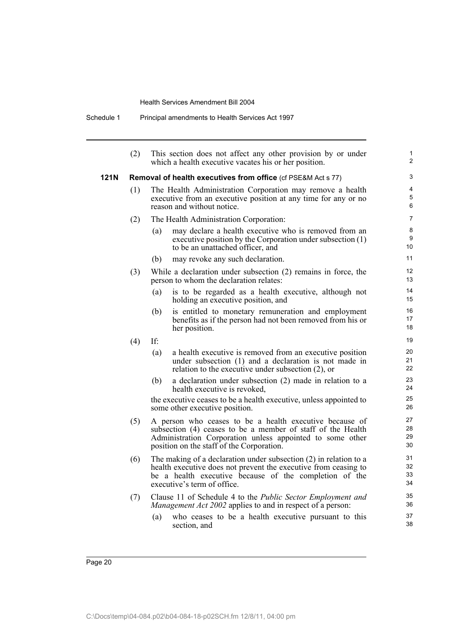|             | (2) | This section does not affect any other provision by or under<br>which a health executive vacates his or her position.                                                                                                            | 1<br>$\overline{2}$       |
|-------------|-----|----------------------------------------------------------------------------------------------------------------------------------------------------------------------------------------------------------------------------------|---------------------------|
| <b>121N</b> |     | Removal of health executives from office (cf PSE&M Act s 77)                                                                                                                                                                     | 3                         |
|             | (1) | The Health Administration Corporation may remove a health<br>executive from an executive position at any time for any or no<br>reason and without notice.                                                                        | $\overline{4}$<br>5<br>6  |
|             | (2) | The Health Administration Corporation:                                                                                                                                                                                           | $\overline{7}$            |
|             |     | may declare a health executive who is removed from an<br>(a)<br>executive position by the Corporation under subsection (1)<br>to be an unattached officer, and                                                                   | 8<br>9<br>10 <sup>°</sup> |
|             |     | (b)<br>may revoke any such declaration.                                                                                                                                                                                          | 11                        |
|             | (3) | While a declaration under subsection (2) remains in force, the<br>person to whom the declaration relates:                                                                                                                        | 12<br>13                  |
|             |     | (a)<br>is to be regarded as a health executive, although not<br>holding an executive position, and                                                                                                                               | 14<br>15                  |
|             |     | (b)<br>is entitled to monetary remuneration and employment<br>benefits as if the person had not been removed from his or<br>her position.                                                                                        | 16<br>17<br>18            |
|             | (4) | If:                                                                                                                                                                                                                              | 19                        |
|             |     | (a)<br>a health executive is removed from an executive position<br>under subsection (1) and a declaration is not made in<br>relation to the executive under subsection $(2)$ , or                                                | 20<br>21<br>22            |
|             |     | a declaration under subsection (2) made in relation to a<br>(b)<br>health executive is revoked,                                                                                                                                  | 23<br>24                  |
|             |     | the executive ceases to be a health executive, unless appointed to<br>some other executive position.                                                                                                                             | 25<br>26                  |
|             | (5) | A person who ceases to be a health executive because of<br>subsection (4) ceases to be a member of staff of the Health<br>Administration Corporation unless appointed to some other<br>position on the staff of the Corporation. | 27<br>28<br>29<br>30      |
|             | (6) | The making of a declaration under subsection $(2)$ in relation to a<br>health executive does not prevent the executive from ceasing to<br>be a health executive because of the completion of the<br>executive's term of office.  | 31<br>32<br>33<br>34      |
|             | (7) | Clause 11 of Schedule 4 to the Public Sector Employment and<br><i>Management Act 2002</i> applies to and in respect of a person:                                                                                                 | 35<br>36                  |
|             |     | who ceases to be a health executive pursuant to this<br>(a)<br>section, and                                                                                                                                                      | 37<br>38                  |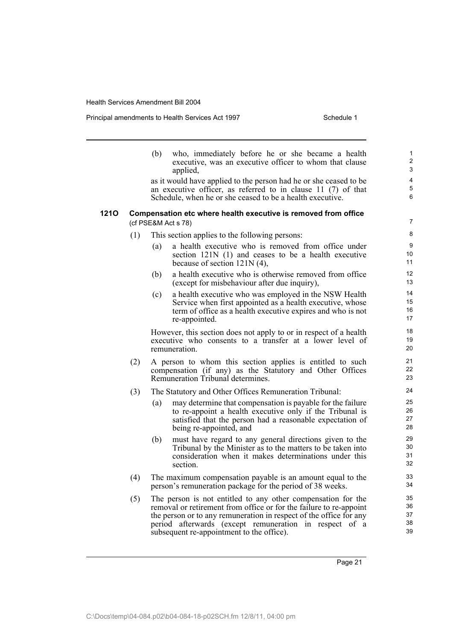Principal amendments to Health Services Act 1997 Schedule 1

|      |     | (b)<br>who, immediately before he or she became a health<br>executive, was an executive officer to whom that clause<br>applied,                                                                                                                                                                                 | $\mathbf{1}$<br>$\overline{2}$<br>3 |
|------|-----|-----------------------------------------------------------------------------------------------------------------------------------------------------------------------------------------------------------------------------------------------------------------------------------------------------------------|-------------------------------------|
|      |     | as it would have applied to the person had he or she ceased to be<br>an executive officer, as referred to in clause $11$ (7) of that<br>Schedule, when he or she ceased to be a health executive.                                                                                                               | 4<br>5<br>6                         |
| 1210 |     | Compensation etc where health executive is removed from office<br>(cf PSE&M Act s 78)                                                                                                                                                                                                                           | 7                                   |
|      | (1) | This section applies to the following persons:                                                                                                                                                                                                                                                                  | 8                                   |
|      |     | a health executive who is removed from office under<br>(a)<br>section 121N (1) and ceases to be a health executive<br>because of section $121N(4)$ ,                                                                                                                                                            | 9<br>10<br>11                       |
|      |     | a health executive who is otherwise removed from office<br>(b)<br>(except for misbehaviour after due inquiry),                                                                                                                                                                                                  | 12<br>13                            |
|      |     | (c)<br>a health executive who was employed in the NSW Health<br>Service when first appointed as a health executive, whose<br>term of office as a health executive expires and who is not<br>re-appointed.                                                                                                       | 14<br>15<br>16<br>17                |
|      |     | However, this section does not apply to or in respect of a health<br>executive who consents to a transfer at a lower level of<br>remuneration.                                                                                                                                                                  | 18<br>19<br>20                      |
|      | (2) | A person to whom this section applies is entitled to such<br>compensation (if any) as the Statutory and Other Offices<br>Remuneration Tribunal determines.                                                                                                                                                      | 21<br>22<br>23                      |
|      | (3) | The Statutory and Other Offices Remuneration Tribunal:                                                                                                                                                                                                                                                          | 24                                  |
|      |     | (a)<br>may determine that compensation is payable for the failure<br>to re-appoint a health executive only if the Tribunal is<br>satisfied that the person had a reasonable expectation of<br>being re-appointed, and                                                                                           | 25<br>26<br>27<br>28                |
|      |     | must have regard to any general directions given to the<br>(b)<br>Tribunal by the Minister as to the matters to be taken into<br>consideration when it makes determinations under this<br>section.                                                                                                              | 29<br>30<br>31<br>32                |
|      | (4) | The maximum compensation payable is an amount equal to the<br>person's remuneration package for the period of 38 weeks.                                                                                                                                                                                         | 33<br>34                            |
|      | (5) | The person is not entitled to any other compensation for the<br>removal or retirement from office or for the failure to re-appoint<br>the person or to any remuneration in respect of the office for any<br>period afterwards (except remuneration in respect of a<br>subsequent re-appointment to the office). | 35<br>36<br>37<br>38<br>39          |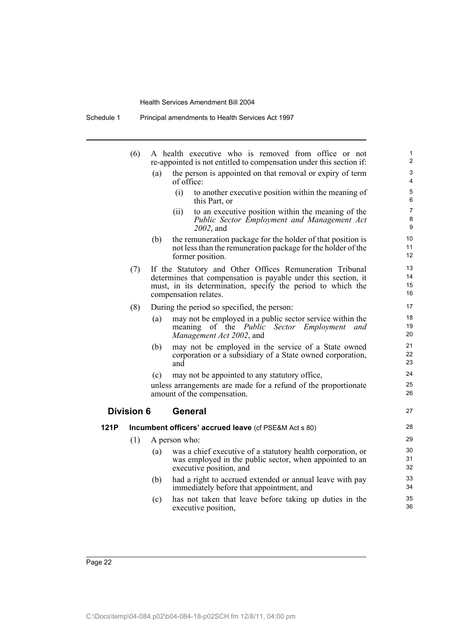Schedule 1 Principal amendments to Health Services Act 1997

|      | (6)               |     |                | A health executive who is removed from office or not<br>re-appointed is not entitled to compensation under this section if:                                                                                        | $\mathbf{1}$<br>$\overline{2}$ |
|------|-------------------|-----|----------------|--------------------------------------------------------------------------------------------------------------------------------------------------------------------------------------------------------------------|--------------------------------|
|      |                   | (a) | of office:     | the person is appointed on that removal or expiry of term                                                                                                                                                          | 3<br>$\overline{4}$            |
|      |                   |     | (i)            | to another executive position within the meaning of<br>this Part, or                                                                                                                                               | 5<br>6                         |
|      |                   |     | (ii)           | to an executive position within the meaning of the<br>Public Sector Employment and Management Act<br>2002, and                                                                                                     | $\overline{7}$<br>8<br>9       |
|      |                   | (b) |                | the remuneration package for the holder of that position is<br>not less than the remuneration package for the holder of the<br>former position.                                                                    | 10<br>11<br>12                 |
|      | (7)               |     |                | If the Statutory and Other Offices Remuneration Tribunal<br>determines that compensation is payable under this section, it<br>must, in its determination, specify the period to which the<br>compensation relates. | 13<br>14<br>15<br>16           |
|      | (8)               |     |                | During the period so specified, the person:                                                                                                                                                                        | 17                             |
|      |                   | (a) | meaning        | may not be employed in a public sector service within the<br>of the <i>Public</i><br>Sector Employment<br>and<br>Management Act 2002, and                                                                          | 18<br>19<br>20                 |
|      |                   | (b) | and            | may not be employed in the service of a State owned<br>corporation or a subsidiary of a State owned corporation,                                                                                                   | 21<br>22<br>23                 |
|      |                   | (c) |                | may not be appointed to any statutory office,                                                                                                                                                                      | 24                             |
|      |                   |     |                | unless arrangements are made for a refund of the proportionate<br>amount of the compensation.                                                                                                                      | 25<br>26                       |
|      | <b>Division 6</b> |     | <b>General</b> |                                                                                                                                                                                                                    | 27                             |
| 121P |                   |     |                | Incumbent officers' accrued leave (cf PSE&M Act s 80)                                                                                                                                                              | 28                             |
|      | (1)               |     | A person who:  |                                                                                                                                                                                                                    | 29                             |
|      |                   | (a) |                | was a chief executive of a statutory health corporation, or<br>was employed in the public sector, when appointed to an<br>executive position, and                                                                  | 30<br>31<br>32                 |
|      |                   | (b) |                | had a right to accrued extended or annual leave with pay<br>immediately before that appointment, and                                                                                                               | 33<br>34                       |
|      |                   | (c) |                | has not taken that leave before taking up duties in the<br>executive position,                                                                                                                                     | 35<br>36                       |
|      |                   |     |                |                                                                                                                                                                                                                    |                                |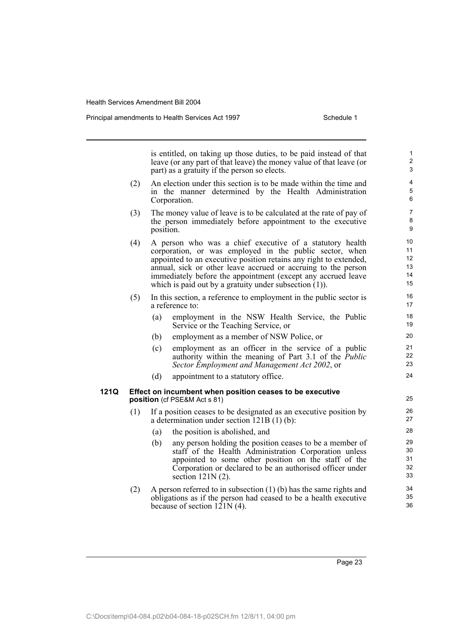Principal amendments to Health Services Act 1997 **Schedule 1** Schedule 1

is entitled, on taking up those duties, to be paid instead of that leave (or any part of that leave) the money value of that leave (or part) as a gratuity if the person so elects. (2) An election under this section is to be made within the time and in the manner determined by the Health Administration Corporation. (3) The money value of leave is to be calculated at the rate of pay of the person immediately before appointment to the executive position. (4) A person who was a chief executive of a statutory health corporation, or was employed in the public sector, when appointed to an executive position retains any right to extended, annual, sick or other leave accrued or accruing to the person immediately before the appointment (except any accrued leave which is paid out by a gratuity under subsection (1)). (5) In this section, a reference to employment in the public sector is a reference to: (a) employment in the NSW Health Service, the Public Service or the Teaching Service, or (b) employment as a member of NSW Police, or (c) employment as an officer in the service of a public authority within the meaning of Part 3.1 of the *Public Sector Employment and Management Act 2002*, or (d) appointment to a statutory office. **121Q Effect on incumbent when position ceases to be executive position** (cf PSE&M Act s 81) (1) If a position ceases to be designated as an executive position by a determination under section 121B (1) (b): (a) the position is abolished, and (b) any person holding the position ceases to be a member of staff of the Health Administration Corporation unless appointed to some other position on the staff of the Corporation or declared to be an authorised officer under section  $121N(2)$ . (2) A person referred to in subsection (1) (b) has the same rights and obligations as if the person had ceased to be a health executive because of section  $121N(4)$ . 1 2 3 4 5 6 7 8  $\overline{Q}$ 10 11 12 13 14 15 16 17 18 19  $20$ 21 22 23 24 25 26 27 28 29 30 31 32 33 34 35 36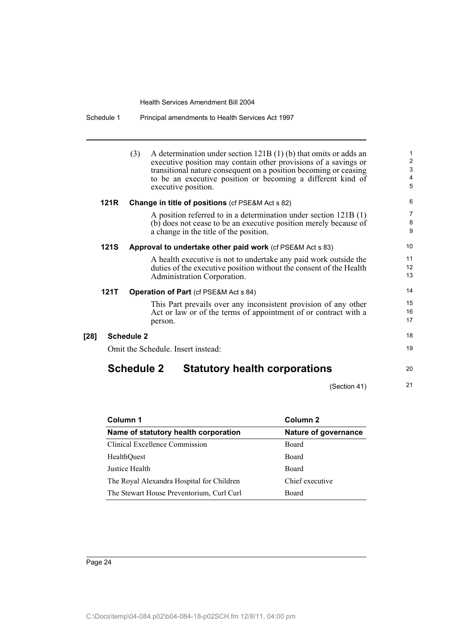Schedule 1 Principal amendments to Health Services Act 1997

|      |                   | Omit the Schedule. Insert instead:                                                                                                                                                                                                                                                                    | 19                                          |
|------|-------------------|-------------------------------------------------------------------------------------------------------------------------------------------------------------------------------------------------------------------------------------------------------------------------------------------------------|---------------------------------------------|
| [28] | <b>Schedule 2</b> |                                                                                                                                                                                                                                                                                                       | 18                                          |
|      |                   | This Part prevails over any inconsistent provision of any other<br>Act or law or of the terms of appointment of or contract with a<br>person.                                                                                                                                                         | 15<br>16<br>17                              |
|      | <b>121T</b>       | <b>Operation of Part</b> (cf PSE&M Act s 84)                                                                                                                                                                                                                                                          | 14                                          |
|      | <b>121S</b>       | Approval to undertake other paid work (cf PSE&M Act s 83)<br>A health executive is not to undertake any paid work outside the<br>duties of the executive position without the consent of the Health<br>Administration Corporation.                                                                    | 10<br>11<br>12<br>13                        |
|      |                   | A position referred to in a determination under section $121B(1)$<br>(b) does not cease to be an executive position merely because of<br>a change in the title of the position.                                                                                                                       | 7<br>8<br>9                                 |
|      | <b>121R</b>       | Change in title of positions (cf PSE&M Act s 82)                                                                                                                                                                                                                                                      | 6                                           |
|      |                   | A determination under section $121B(1)$ (b) that omits or adds an<br>(3)<br>executive position may contain other provisions of a savings or<br>transitional nature consequent on a position becoming or ceasing<br>to be an executive position or becoming a different kind of<br>executive position. | 1<br>$\overline{\mathbf{c}}$<br>3<br>4<br>5 |

(Section 41)

21

| Column 1                                  | Column 2             |  |  |
|-------------------------------------------|----------------------|--|--|
| Name of statutory health corporation      | Nature of governance |  |  |
| Clinical Excellence Commission            | Board                |  |  |
| HealthOuest                               | Board                |  |  |
| Justice Health                            | Board                |  |  |
| The Royal Alexandra Hospital for Children | Chief executive      |  |  |
| The Stewart House Preventorium, Curl Curl | Board                |  |  |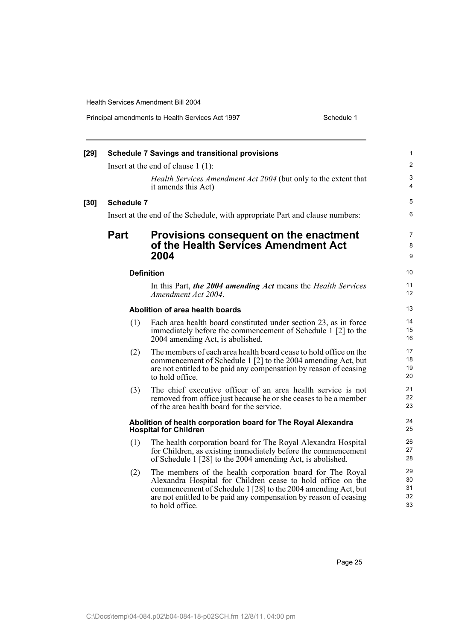Principal amendments to Health Services Act 1997 Schedule 1

| $[29]$ |                   | <b>Schedule 7 Savings and transitional provisions</b>                                                                                                                                                                                                                             | 1                          |
|--------|-------------------|-----------------------------------------------------------------------------------------------------------------------------------------------------------------------------------------------------------------------------------------------------------------------------------|----------------------------|
|        |                   | Insert at the end of clause $1(1)$ :                                                                                                                                                                                                                                              | $\overline{c}$             |
|        |                   | <i>Health Services Amendment Act 2004</i> (but only to the extent that<br>it amends this Act)                                                                                                                                                                                     | 3<br>4                     |
| $[30]$ | <b>Schedule 7</b> |                                                                                                                                                                                                                                                                                   | 5                          |
|        |                   | Insert at the end of the Schedule, with appropriate Part and clause numbers:                                                                                                                                                                                                      | 6                          |
|        | <b>Part</b>       | Provisions consequent on the enactment<br>of the Health Services Amendment Act<br>2004                                                                                                                                                                                            | 7<br>8<br>9                |
|        |                   | <b>Definition</b>                                                                                                                                                                                                                                                                 | 10                         |
|        |                   | In this Part, the 2004 amending Act means the Health Services<br>Amendment Act 2004.                                                                                                                                                                                              | 11<br>12                   |
|        |                   | Abolition of area health boards                                                                                                                                                                                                                                                   | 13                         |
|        | (1)               | Each area health board constituted under section 23, as in force<br>immediately before the commencement of Schedule 1 [2] to the<br>2004 amending Act, is abolished.                                                                                                              | 14<br>15<br>16             |
|        | (2)               | The members of each area health board cease to hold office on the<br>commencement of Schedule 1 [2] to the 2004 amending Act, but<br>are not entitled to be paid any compensation by reason of ceasing<br>to hold office.                                                         | 17<br>18<br>19<br>20       |
|        | (3)               | The chief executive officer of an area health service is not<br>removed from office just because he or she ceases to be a member<br>of the area health board for the service.                                                                                                     | 21<br>22<br>23             |
|        |                   | Abolition of health corporation board for The Royal Alexandra<br><b>Hospital for Children</b>                                                                                                                                                                                     | 24<br>25                   |
|        | (1)               | The health corporation board for The Royal Alexandra Hospital<br>for Children, as existing immediately before the commencement<br>of Schedule 1 [28] to the 2004 amending Act, is abolished.                                                                                      | 26<br>27<br>28             |
|        | (2)               | The members of the health corporation board for The Royal<br>Alexandra Hospital for Children cease to hold office on the<br>commencement of Schedule 1 [28] to the 2004 amending Act, but<br>are not entitled to be paid any compensation by reason of ceasing<br>to hold office. | 29<br>30<br>31<br>32<br>33 |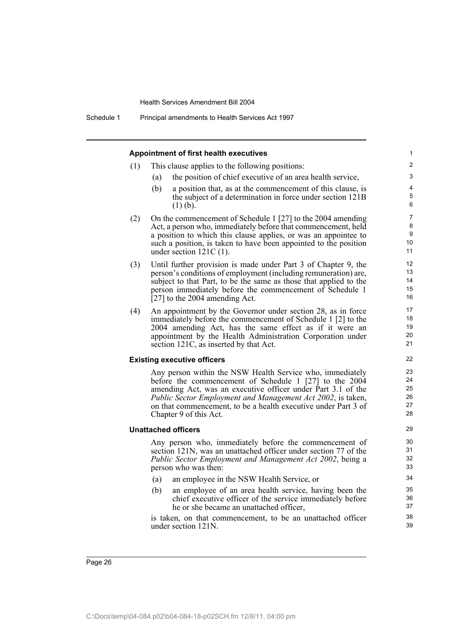Schedule 1 Principal amendments to Health Services Act 1997

|     | <b>Appointment of first health executives</b>                                                                                                                                                                                                                                                                                                  |  |
|-----|------------------------------------------------------------------------------------------------------------------------------------------------------------------------------------------------------------------------------------------------------------------------------------------------------------------------------------------------|--|
| (1) | This clause applies to the following positions:                                                                                                                                                                                                                                                                                                |  |
|     | the position of chief executive of an area health service,<br>(a)                                                                                                                                                                                                                                                                              |  |
|     | (b)<br>a position that, as at the commencement of this clause, is<br>the subject of a determination in force under section 121B<br>$(1)$ (b).                                                                                                                                                                                                  |  |
| (2) | On the commencement of Schedule 1 [27] to the 2004 amending<br>Act, a person who, immediately before that commencement, held<br>a position to which this clause applies, or was an appointee to<br>such a position, is taken to have been appointed to the position<br>under section $121C(1)$ .                                               |  |
| (3) | Until further provision is made under Part 3 of Chapter 9, the<br>person's conditions of employment (including remuneration) are,<br>subject to that Part, to be the same as those that applied to the<br>person immediately before the commencement of Schedule 1<br>[27] to the 2004 amending Act.                                           |  |
| (4) | An appointment by the Governor under section 28, as in force<br>immediately before the commencement of Schedule 1 [2] to the<br>2004 amending Act, has the same effect as if it were an<br>appointment by the Health Administration Corporation under<br>section 121C, as inserted by that Act.                                                |  |
|     | <b>Existing executive officers</b>                                                                                                                                                                                                                                                                                                             |  |
|     | Any person within the NSW Health Service who, immediately<br>before the commencement of Schedule 1 [27] to the 2004<br>amending Act, was an executive officer under Part 3.1 of the<br>Public Sector Employment and Management Act 2002, is taken,<br>on that commencement, to be a health executive under Part 3 of<br>Chapter 9 of this Act. |  |
|     | <b>Unattached officers</b>                                                                                                                                                                                                                                                                                                                     |  |
|     | Any person who, immediately before the commencement of<br>section 121N, was an unattached officer under section 77 of the<br>Public Sector Employment and Management Act 2002, being a<br>person who was then:                                                                                                                                 |  |
|     | an employee in the NSW Health Service, or<br>(a)                                                                                                                                                                                                                                                                                               |  |
|     | an employee of an area health service, having been the<br>(b)<br>chief executive officer of the service immediately before<br>he or she became an unattached officer,                                                                                                                                                                          |  |
|     | is taken, on that commencement, to be an unattached officer<br>under section 121N.                                                                                                                                                                                                                                                             |  |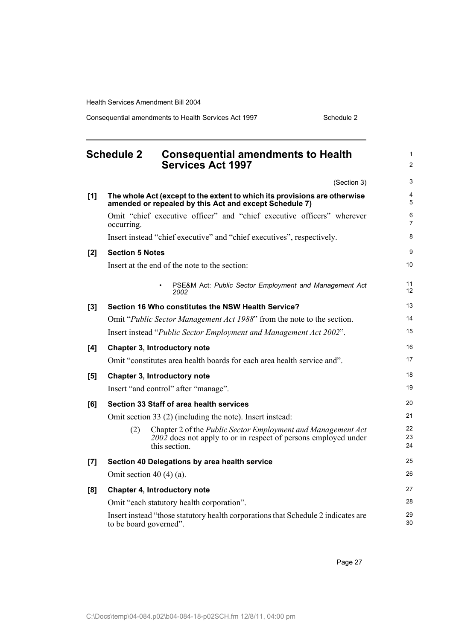Consequential amendments to Health Services Act 1997 Schedule 2

<span id="page-36-0"></span>

|     | <b>Schedule 2</b><br><b>Consequential amendments to Health</b><br><b>Services Act 1997</b>                                                                          | $\mathbf{1}$<br>$\overline{2}$ |
|-----|---------------------------------------------------------------------------------------------------------------------------------------------------------------------|--------------------------------|
|     | (Section 3)                                                                                                                                                         | 3                              |
| [1] | The whole Act (except to the extent to which its provisions are otherwise<br>amended or repealed by this Act and except Schedule 7)                                 | $\overline{4}$<br>5            |
|     | Omit "chief executive officer" and "chief executive officers" wherever<br>occurring.                                                                                | 6<br>7                         |
|     | Insert instead "chief executive" and "chief executives", respectively.                                                                                              | 8                              |
| [2] | <b>Section 5 Notes</b>                                                                                                                                              | 9                              |
|     | Insert at the end of the note to the section:                                                                                                                       | 10                             |
|     | PSE&M Act: Public Sector Employment and Management Act<br>2002                                                                                                      | 11<br>12                       |
| [3] | Section 16 Who constitutes the NSW Health Service?                                                                                                                  | 13                             |
|     | Omit "Public Sector Management Act 1988" from the note to the section.                                                                                              | 14                             |
|     | Insert instead "Public Sector Employment and Management Act 2002".                                                                                                  | 15                             |
| [4] | Chapter 3, Introductory note                                                                                                                                        | 16                             |
|     | Omit "constitutes area health boards for each area health service and".                                                                                             | 17                             |
| [5] | Chapter 3, Introductory note                                                                                                                                        | 18                             |
|     | Insert "and control" after "manage".                                                                                                                                | 19                             |
| [6] | Section 33 Staff of area health services                                                                                                                            | 20                             |
|     | Omit section 33 (2) (including the note). Insert instead:                                                                                                           | 21                             |
|     | Chapter 2 of the Public Sector Employment and Management Act<br>(2)<br>$200\overline{2}$ does not apply to or in respect of persons employed under<br>this section. | 22<br>23<br>24                 |
| [7] | Section 40 Delegations by area health service                                                                                                                       | 25                             |
|     | Omit section 40 $(4)(a)$ .                                                                                                                                          | 26                             |
| [8] | <b>Chapter 4, Introductory note</b>                                                                                                                                 | 27                             |
|     | Omit "each statutory health corporation".                                                                                                                           | 28                             |
|     |                                                                                                                                                                     |                                |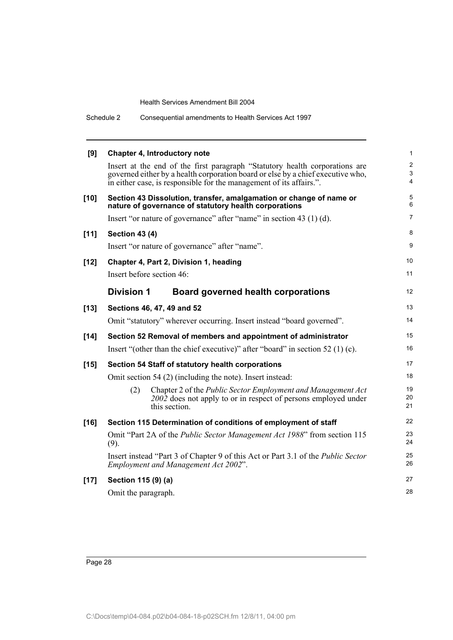| Schedule 2 |  | Consequential amendments to Health Services Act 1997 |  |
|------------|--|------------------------------------------------------|--|
|------------|--|------------------------------------------------------|--|

| [9]    | <b>Chapter 4, Introductory note</b>                                                                                                                                                                                                   | $\mathbf{1}$                                     |
|--------|---------------------------------------------------------------------------------------------------------------------------------------------------------------------------------------------------------------------------------------|--------------------------------------------------|
|        | Insert at the end of the first paragraph "Statutory health corporations are<br>governed either by a health corporation board or else by a chief executive who,<br>in either case, is responsible for the management of its affairs.". | $\overline{c}$<br>$\ensuremath{\mathsf{3}}$<br>4 |
| $[10]$ | Section 43 Dissolution, transfer, amalgamation or change of name or<br>nature of governance of statutory health corporations                                                                                                          | $\mathbf 5$<br>6                                 |
|        | Insert "or nature of governance" after "name" in section 43 (1) (d).                                                                                                                                                                  | $\overline{7}$                                   |
| $[11]$ | <b>Section 43 (4)</b>                                                                                                                                                                                                                 | 8                                                |
|        | Insert "or nature of governance" after "name".                                                                                                                                                                                        | 9                                                |
| $[12]$ | Chapter 4, Part 2, Division 1, heading                                                                                                                                                                                                | 10                                               |
|        | Insert before section 46:                                                                                                                                                                                                             | 11                                               |
|        | <b>Division 1</b><br><b>Board governed health corporations</b>                                                                                                                                                                        | 12                                               |
| $[13]$ | Sections 46, 47, 49 and 52                                                                                                                                                                                                            | 13                                               |
|        | Omit "statutory" wherever occurring. Insert instead "board governed".                                                                                                                                                                 | 14                                               |
| $[14]$ | Section 52 Removal of members and appointment of administrator                                                                                                                                                                        | 15                                               |
|        | Insert "(other than the chief executive)" after "board" in section 52 (1) (c).                                                                                                                                                        | 16                                               |
| $[15]$ | Section 54 Staff of statutory health corporations                                                                                                                                                                                     | 17                                               |
|        | Omit section 54 (2) (including the note). Insert instead:                                                                                                                                                                             | 18                                               |
|        | (2)<br>Chapter 2 of the Public Sector Employment and Management Act<br>$200\overline{2}$ does not apply to or in respect of persons employed under<br>this section.                                                                   | 19<br>20<br>21                                   |
| $[16]$ | Section 115 Determination of conditions of employment of staff                                                                                                                                                                        | 22                                               |
|        | Omit "Part 2A of the <i>Public Sector Management Act 1988</i> " from section 115<br>(9).                                                                                                                                              | 23<br>24                                         |
|        | Insert instead "Part 3 of Chapter 9 of this Act or Part 3.1 of the Public Sector<br>Employment and Management Act 2002".                                                                                                              | 25<br>26                                         |
| $[17]$ | Section 115 (9) (a)                                                                                                                                                                                                                   | 27                                               |
|        | Omit the paragraph.                                                                                                                                                                                                                   | 28                                               |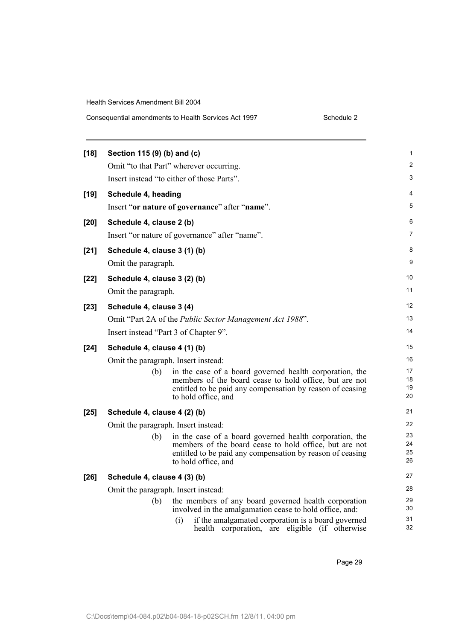| Consequential amendments to Health Services Act 1997 | Schedule 2 |
|------------------------------------------------------|------------|
|------------------------------------------------------|------------|

| $[18]$ | Section 115 (9) (b) and (c)         |                                                                                                                                    | 1                       |
|--------|-------------------------------------|------------------------------------------------------------------------------------------------------------------------------------|-------------------------|
|        |                                     | Omit "to that Part" wherever occurring.                                                                                            | $\overline{\mathbf{c}}$ |
|        |                                     | Insert instead "to either of those Parts".                                                                                         | 3                       |
| $[19]$ | Schedule 4, heading                 |                                                                                                                                    | 4                       |
|        |                                     | Insert "or nature of governance" after "name".                                                                                     | 5                       |
| $[20]$ | Schedule 4, clause 2 (b)            |                                                                                                                                    | 6                       |
|        |                                     | Insert "or nature of governance" after "name".                                                                                     | 7                       |
| $[21]$ | Schedule 4, clause 3 (1) (b)        |                                                                                                                                    | 8                       |
|        | Omit the paragraph.                 |                                                                                                                                    | 9                       |
| $[22]$ | Schedule 4, clause 3 (2) (b)        |                                                                                                                                    | 10                      |
|        | Omit the paragraph.                 |                                                                                                                                    | 11                      |
| $[23]$ | Schedule 4, clause 3 (4)            |                                                                                                                                    | 12                      |
|        |                                     | Omit "Part 2A of the Public Sector Management Act 1988".                                                                           | 13                      |
|        |                                     | Insert instead "Part 3 of Chapter 9".                                                                                              | 14                      |
| $[24]$ | Schedule 4, clause 4 (1) (b)        |                                                                                                                                    | 15                      |
|        | Omit the paragraph. Insert instead: |                                                                                                                                    | 16                      |
|        | (b)                                 | in the case of a board governed health corporation, the                                                                            | 17                      |
|        |                                     | members of the board cease to hold office, but are not<br>entitled to be paid any compensation by reason of ceasing                | 18<br>19                |
|        |                                     | to hold office, and                                                                                                                | 20                      |
| $[25]$ | Schedule 4, clause 4 (2) (b)        |                                                                                                                                    | 21                      |
|        | Omit the paragraph. Insert instead: |                                                                                                                                    | 22                      |
|        | (b)                                 | in the case of a board governed health corporation, the                                                                            | 23                      |
|        |                                     | members of the board cease to hold office, but are not<br>entitled to be paid any compensation by reason of ceasing                | 24<br>25                |
|        |                                     | to hold office, and                                                                                                                | 26                      |
| $[26]$ | Schedule 4, clause 4 (3) (b)        |                                                                                                                                    | 27                      |
|        | Omit the paragraph. Insert instead: |                                                                                                                                    | 28                      |
|        | (b)                                 | the members of any board governed health corporation                                                                               | 29<br>30                |
|        |                                     | involved in the amalgamation cease to hold office, and:<br>if the amalgamated corporation is a board governed<br>$\left( i\right)$ | 31                      |
|        |                                     | health corporation, are eligible (if otherwise                                                                                     | 32                      |
|        |                                     |                                                                                                                                    |                         |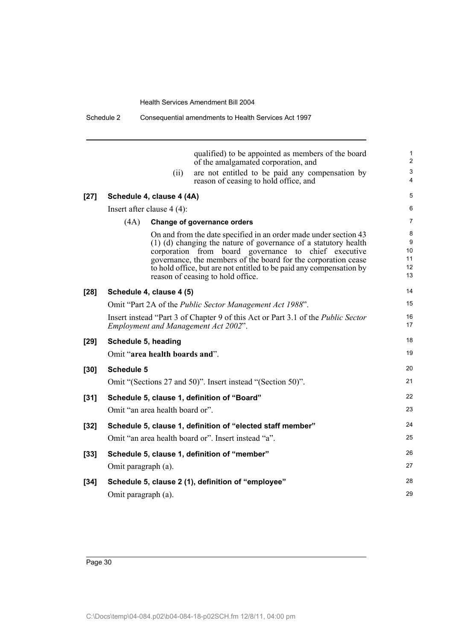|        |                     |                                 | qualified) to be appointed as members of the board<br>of the amalgamated corporation, and                                                                                                                                                                                                                                                                                 |
|--------|---------------------|---------------------------------|---------------------------------------------------------------------------------------------------------------------------------------------------------------------------------------------------------------------------------------------------------------------------------------------------------------------------------------------------------------------------|
|        |                     | (ii)                            | are not entitled to be paid any compensation by<br>reason of ceasing to hold office, and                                                                                                                                                                                                                                                                                  |
| $[27]$ |                     | Schedule 4, clause 4 (4A)       |                                                                                                                                                                                                                                                                                                                                                                           |
|        |                     | Insert after clause $4(4)$ :    |                                                                                                                                                                                                                                                                                                                                                                           |
|        | (4A)                |                                 | Change of governance orders                                                                                                                                                                                                                                                                                                                                               |
|        |                     |                                 | On and from the date specified in an order made under section 43<br>(1) (d) changing the nature of governance of a statutory health<br>corporation from board governance to chief executive<br>governance, the members of the board for the corporation cease<br>to hold office, but are not entitled to be paid any compensation by<br>reason of ceasing to hold office. |
| $[28]$ |                     | Schedule 4, clause 4 (5)        |                                                                                                                                                                                                                                                                                                                                                                           |
|        |                     |                                 | Omit "Part 2A of the <i>Public Sector Management Act 1988"</i> .                                                                                                                                                                                                                                                                                                          |
|        |                     |                                 | Insert instead "Part 3 of Chapter 9 of this Act or Part 3.1 of the <i>Public Sector</i><br><b>Employment and Management Act 2002".</b>                                                                                                                                                                                                                                    |
| $[29]$ | Schedule 5, heading |                                 |                                                                                                                                                                                                                                                                                                                                                                           |
|        |                     | Omit "area health boards and".  |                                                                                                                                                                                                                                                                                                                                                                           |
| $[30]$ | <b>Schedule 5</b>   |                                 |                                                                                                                                                                                                                                                                                                                                                                           |
|        |                     |                                 | Omit "(Sections 27 and 50)". Insert instead "(Section 50)".                                                                                                                                                                                                                                                                                                               |
| $[31]$ |                     |                                 | Schedule 5, clause 1, definition of "Board"                                                                                                                                                                                                                                                                                                                               |
|        |                     | Omit "an area health board or". |                                                                                                                                                                                                                                                                                                                                                                           |
| $[32]$ |                     |                                 | Schedule 5, clause 1, definition of "elected staff member"                                                                                                                                                                                                                                                                                                                |
|        |                     |                                 | Omit "an area health board or". Insert instead "a".                                                                                                                                                                                                                                                                                                                       |
| $[33]$ | Omit paragraph (a). |                                 | Schedule 5, clause 1, definition of "member"                                                                                                                                                                                                                                                                                                                              |
| $[34]$ | Omit paragraph (a). |                                 | Schedule 5, clause 2 (1), definition of "employee"                                                                                                                                                                                                                                                                                                                        |

Schedule 2 Consequential amendments to Health Services Act 1997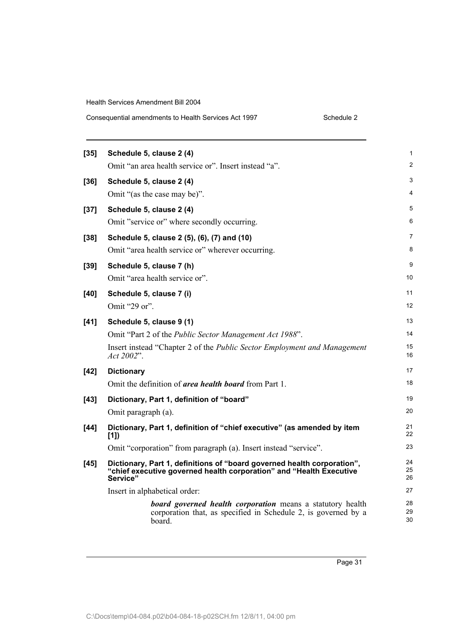| Consequential amendments to Health Services Act 1997 | Schedule 2 |
|------------------------------------------------------|------------|
|                                                      |            |

| $[35]$ | Schedule 5, clause 2 (4)                                                                                                                                   | 1              |
|--------|------------------------------------------------------------------------------------------------------------------------------------------------------------|----------------|
|        | Omit "an area health service or". Insert instead "a".                                                                                                      | $\overline{c}$ |
| $[36]$ | Schedule 5, clause 2 (4)                                                                                                                                   | 3              |
|        | Omit "(as the case may be)".                                                                                                                               | 4              |
| $[37]$ | Schedule 5, clause 2 (4)                                                                                                                                   | 5              |
|        | Omit "service or" where secondly occurring.                                                                                                                | 6              |
| $[38]$ | Schedule 5, clause 2 (5), (6), (7) and (10)                                                                                                                | 7              |
|        | Omit "area health service or" wherever occurring.                                                                                                          | 8              |
| $[39]$ | Schedule 5, clause 7 (h)                                                                                                                                   | 9              |
|        | Omit "area health service or".                                                                                                                             | 10             |
| [40]   | Schedule 5, clause 7 (i)                                                                                                                                   | 11             |
|        | Omit "29 or".                                                                                                                                              | 12             |
| $[41]$ | Schedule 5, clause 9 (1)                                                                                                                                   | 13             |
|        | Omit "Part 2 of the Public Sector Management Act 1988".                                                                                                    | 14             |
|        | Insert instead "Chapter 2 of the Public Sector Employment and Management<br>Act 2002".                                                                     | 15<br>16       |
| $[42]$ | <b>Dictionary</b>                                                                                                                                          | 17             |
|        | Omit the definition of <i>area health board</i> from Part 1.                                                                                               | 18             |
| $[43]$ | Dictionary, Part 1, definition of "board"                                                                                                                  | 19             |
|        | Omit paragraph (a).                                                                                                                                        | 20             |
| $[44]$ | Dictionary, Part 1, definition of "chief executive" (as amended by item<br>[1]                                                                             | 21<br>22       |
|        | Omit "corporation" from paragraph (a). Insert instead "service".                                                                                           | 23             |
| $[45]$ | Dictionary, Part 1, definitions of "board governed health corporation",<br>"chief executive governed health corporation" and "Health Executive<br>Service" | 24<br>25<br>26 |
|        | Insert in alphabetical order:                                                                                                                              | 27             |
|        | <b>board</b> governed health corporation means a statutory health<br>corporation that, as specified in Schedule 2, is governed by a<br>board.              | 28<br>29<br>30 |
|        |                                                                                                                                                            |                |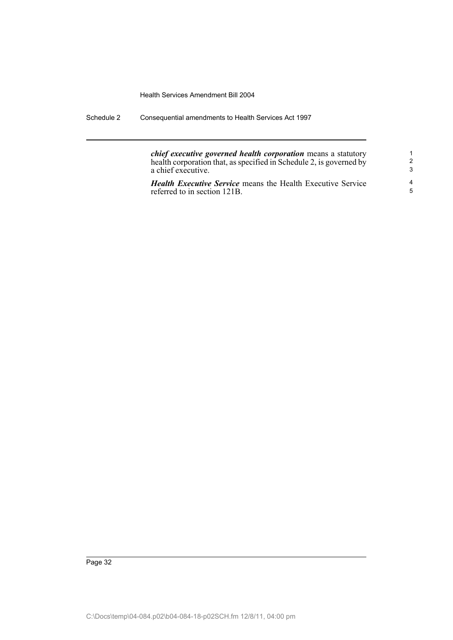| Schedule 2 | Consequential amendments to Health Services Act 1997 |
|------------|------------------------------------------------------|
|            |                                                      |

*chief executive governed health corporation* means a statutory health corporation that, as specified in Schedule 2, is governed by a chief executive.

*Health Executive Service* means the Health Executive Service referred to in section 121B.